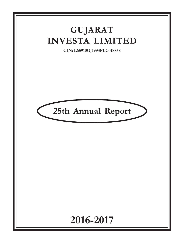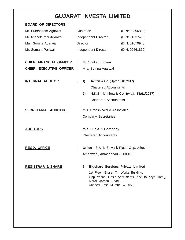| <b>BOARD OF DIRECTORS</b>    |                                                                                   |                                                           |                                                                                                                                             |                                                    |
|------------------------------|-----------------------------------------------------------------------------------|-----------------------------------------------------------|---------------------------------------------------------------------------------------------------------------------------------------------|----------------------------------------------------|
| Mr. Purshottam Agarwal       |                                                                                   | Chairman                                                  |                                                                                                                                             | (DIN: 00396869)                                    |
| Mr. Anandkumar Agarwal       | Independent Director                                                              |                                                           |                                                                                                                                             | (DIN: 01227486)                                    |
| Mrs. Somna Agarwal           |                                                                                   | <b>Director</b>                                           |                                                                                                                                             | (DIN: 01670948)                                    |
| Mr. Sumant Periwal           |                                                                                   |                                                           | Independent Director                                                                                                                        | (DIN: 02561862)                                    |
| CHIEF FINANCIAL OFFICER      | ÷                                                                                 |                                                           | Mr. Shrikant Solanki                                                                                                                        |                                                    |
| CHIEF EXECUTIVE OFFICER :    |                                                                                   |                                                           | Mrs. Somna Agarwal                                                                                                                          |                                                    |
| <b>INTERNAL AUDITOR</b>      | ÷.                                                                                | 1)<br>2)                                                  | Tantiya & Co. (Upto 13/01/2017)<br><b>Chartered Accountants</b><br>N.K.Shrishrimal& Co. (w.e.f. 13/01/2017)<br><b>Chartered Accountants</b> |                                                    |
| <b>SECRETARIAL AUDITOR</b>   | ÷.                                                                                | M/s. Umesh Ved & Associates<br><b>Company Secretaries</b> |                                                                                                                                             |                                                    |
| <b>AUDITORS</b>              | ÷.                                                                                | M/s. Lunia & Company<br><b>Chartered Accountants</b>      |                                                                                                                                             |                                                    |
| <b>REGD. OFFICE</b>          | <b>Office :</b> 3 & 4, Shivalik Plaza Opp. Atira,<br>Ambawadi, Ahmedabad - 380015 |                                                           |                                                                                                                                             |                                                    |
| <b>REGISTRAR &amp; SHARE</b> |                                                                                   | 1)                                                        | <b>Bigshare Services Private Limited</b><br>1st Floor, Bharat Tin Works Building,<br>Marol Maroshi Road,<br>Andheri East, Mumbai 400059.    | Opp. Vasant Oasis Apartments (next to Keys Hotel), |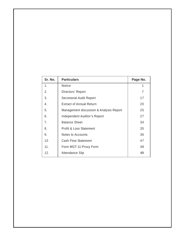| Sr. No.        | <b>Particulars</b>                      | Page No. |
|----------------|-----------------------------------------|----------|
| 1.             | <b>Notice</b>                           |          |
| 2.             | Directors' Report                       | 7        |
| 3.             | <b>Secretarial Audit Report</b>         | 17       |
| 4.             | <b>Extract of Annual Return</b>         | 20       |
| 5.             | Management discussion & Analysis Report | 25       |
| 6.             | Independent Auditor's Report            | 27       |
| 7 <sub>1</sub> | <b>Balance Sheet</b>                    | 34       |
| 8.             | <b>Profit &amp; Loss Statement</b>      | 35       |
| 9.             | <b>Notes to Accounts</b>                | 36       |
| 10             | <b>Cash Flow Statement</b>              | 47       |
| 11.            | Form MGT-11-Proxy Form                  | 48       |
| 12.            | Attendance Slip                         | 49       |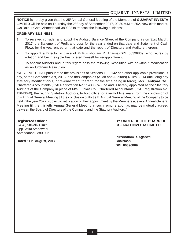**NOTICE** is hereby given that the 25<sup>th</sup>Annual General Meeting of the Members of **GUJARAT INVESTA** LIMITED will be held on Thursday the 28<sup>th</sup> day of September 2017, 09:30 A.M at 252, New cloth market, O/s Raipur Gate, Ahmedabad-380002 to transact the following business:

#### **ORDINARY BUSINESS**

- 1. To receive, consider and adopt the Audited Balance Sheet of the Company as on 31st March, 2017, the Statement of Profit and Loss for the year ended on that date and Statement of Cash Flows for the year ended on that date and the report of Directors and Auditors thereon.
- 2. To appoint a Director in place of Mr.Purushottam R. Agarwal(DIN: 00396869) who retires by rotation and being eligible has offered himself for re-appointment.
- 3. To appoint Auditors and in this regard pass the following Resolution with or without modification as an Ordinary Resolution:

"RESOLVED THAT pursuant to the provisions of Sections 139, 142 and other applicable provisions, if any, of the Companies Act, 2013, and theCompanies (Audit and Auditors) Rules, 2014 (including any statutory modification(s) or re-enactment thereof, for the time being in force), M/s. **Tantiya& Co.**, Chartered Accountants (ICAI Registration No.: 140806W), be and is hereby appointed as the Statutory Auditors of the Company,in place of M/s. Lunia& Co., Chartered Accountants (ICAI Registration No. 116436W), the retiring Statutory Auditors, to hold office for a termof five years from the conclusion of this Annual General Meeting till the conclusion of thirtieth Annual General Meeting of the Company to be held inthe year 2022, subject to ratification of their appointment by the Members at every Annual General Meeting till the thirtieth Annual General Meeting,at such remuneration as may be mutually agreed between the Board of Directors of the Company and the Statutory Auditors."

Opp. Atira Ambawadi Ahmedabad - 380 002

**Registered Office : BY ORDER OF THE BOARD OF** 3 & 4 , Shivalik Plaza **GUJARAT INVESTA LIMITED**

**Dated : 17<sup>th</sup> August, 2017 Chairman** 

**Purshottam R. Agarwal DIN: 00396869**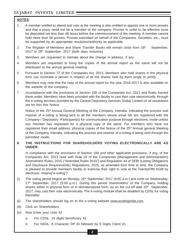## **NOTES**:

- 1. A member entitled to attend and vote at the meeting is also entitled to appoint one or more proxies and that a proxy need not be a member of the company. Proxies in order to be effective must be deposited not less than 48 hours before the commencement of the meeting. A member cannot hold more than 50 proxies. Proxies submitted on behalf of the Companies, Societies, etc., must be supported by an appropriate resolution/authority as applicable.
- 2. The Register of Members and Share Transfer Books will remain close from  $18<sup>th</sup>$  September,  $2017$  to  $28<sup>th</sup>$  September, 2017 (both days inclusive).
- 3. Members are requested to intimate about the change in address, if any.
- 4. Members are requested to bring the copies of the annual report as the same will not be distributed at the annual general meeting.
- 5. Pursuant to Section 72 of the Companies Act, 2013, Members who hold shares in the physical form can nominate a person in respect of all the shares held by them singly or jointly.
- 6. Members may note that the copy of the annual report for the year 2016-2017 is also available on the website of the company.
- 7. Incompliance with the provisions of Section 108 of the Companies Act, 2013 and Rules framed there under, Members have been provided with the facility to cast their vote electronically, through the e-voting services provided by the Central Depository Services (India) Limited on all resolutions set for thin this Notice.

Notice of the 25<sup>th</sup> Annual General Meeting of the Company. Interalia, indicating the process and manner of e-voting is being sent to all the members whose email Ids are registered with the Company / Depository Participant(s) for communication purpose through electronic mode unless any member has requested for a physical copy of the same. For members who have not registered their email address, physical copies of the Notice of the 25<sup>th</sup> Annual general Meeting of the Company, interalia, indicating the process and manner of e-voting is being sent through the permitted mode.

#### **8. THE INSTRUCTIONS FOR SHAREHOLDERS VOTING ELECTRONICALLY ARE AS UNDER:**

In compliance with the provisions of Section 108 and other applicable provisions, if any, of the Companies Act, 2013 read with Rule 20 of the Companies (Management and Administration) Amendment Rules, 2015 ("Amended Rules 2015") and Regulation 44 of SEBI (Listing Obligations and Disclosure Requirements) Regulations, 2015, as amended from time to time, the Company is pleased to provide members facility to exercise their right to vote at the TwentyFifth AGM by electronic means("e-voting")

- (i) The voting period begins on Monday,  $25<sup>th</sup>$  September, 2017 (9:00 a.m.) and ends on Wednesday, 27<sup>th</sup> September, 2017 (5:00 p.m.). During this period shareholders' of the Company, holding shares either in physical form or in dematerialized form, as on the cut-off date 20<sup>th</sup> September, 2017, may cast their vote electronically. The e-voting module shall be disabled by CDSL for voting thereafter.
- (ii) The shareholders should log on to the e-voting website www.evotingindia.com.
- (iii) Click on Shareholders.
- (iv) Now Enter your User ID
	- a. For CDSL: 16 digits beneficiary ID,
	- b. For NSDL: 8 Character DP ID followed by 8 Digits Client ID,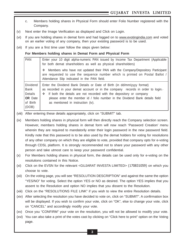- c. Members holding shares in Physical Form should enter Folio Number registered with the Company.
- (v) Next enter the Image Verification as displayed and Click on Login.
- (vi) If you are holding shares in demat form and had logged on to www.evotingindia.com and voted on an earlier voting of any company, then your existing password is to be used.
- (vii) If you are a first time user follow the steps given below:

**For Members holding shares in Demat Form and Physical Form**

| PAN                                                                  | Enter your 10 digit alpha-numeric PAN issued by Income Tax Department (Applicable<br>for both demat shareholders as well as physical shareholders)                                                                                                                                                                                                           |  |  |
|----------------------------------------------------------------------|--------------------------------------------------------------------------------------------------------------------------------------------------------------------------------------------------------------------------------------------------------------------------------------------------------------------------------------------------------------|--|--|
|                                                                      | Members who have not updated their PAN with the Company/Depository Participant<br>A.<br>are requested to use the sequence number which is printed on Postal Ballot /<br>Attendance Slip indicated in the PAN field.                                                                                                                                          |  |  |
| Dividend<br>  Bank<br>Details<br><b>OR</b> Date<br>of Birth<br>(DOB) | Enter the Dividend Bank Details or Date of Birth (in dd/mm/yyyy format)<br>as recorded in your demat account or in the company records in order to $login.$<br>If both the details are not recorded with the depository or company<br>❖<br>please enter the member id / folio number in the Dividend Bank details field<br>as mentioned in instruction (iv). |  |  |

(viii) After entering these details appropriately, click on "SUBMIT" tab.

(ix) Members holding shares in physical form will then directly reach the Company selection screen. However, members holding shares in demat form will now reach 'Password Creation' menu wherein they are required to mandatorily enter their login password in the new password field. Kindly note that this password is to be also used by the demat holders for voting for resolutions of any other company on which they are eligible to vote, provided that company opts for e-voting through CDSL platform. It is strongly recommended not to share your password with any other person and take utmost care to keep your password confidential.

- (x) For Members holding shares in physical form, the details can be used only for e-voting on the resolutions contained in this Notice.
- (xi) Click on the EVSN for the relevant <GUJARAT INVESTA LIMITED> (170831059) on which you choose to vote.
- (xii) On the voting page, you will see "RESOLUTION DESCRIPTION" and against the same the option "YES/NO" for voting. Select the option YES or NO as desired. The option YES implies that you assent to the Resolution and option NO implies that you dissent to the Resolution.
- (xiii) Click on the "RESOLUTIONS FILE LINK" if you wish to view the entire Resolution details.
- (xiv) After selecting the resolution you have decided to vote on, click on "SUBMIT". A confirmation box will be displayed. If you wish to confirm your vote, click on "OK", else to change your vote, click on "CANCEL" and accordingly modify your vote.

(xv) Once you "CONFIRM" your vote on the resolution, you will not be allowed to modify your vote.

(xvi) You can also take a print of the votes cast by clicking on "Click here to print" option on the Voting page.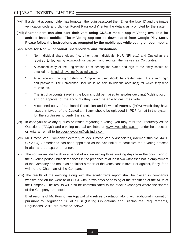- (xvii) If a demat account holder has forgotten the login password then Enter the User ID and the image verification code and click on Forgot Password & enter the details as prompted by the system.
- (xviii) **Shareholders can also cast their vote using CDSL's mobile app m-Voting available for android based mobiles. The m-Voting app can be downloaded from Google Play Store. Please follow the instructions as prompted by the mobile app while voting on your mobile.**
- (xix) **Note for Non Individual Shareholders and Custodians**
	- Non-Individual shareholders (i.e. other than Individuals, HUF, NRI etc.) and Custodian are required to log on to www.evotingindia.com and register themselves as Corporates.
	- A scanned copy of the Registration Form bearing the stamp and sign of the entity should be emailed to helpdesk.evoting@cdslindia.com.
	- After receiving the login details a Compliance User should be created using the admin login and password. The Compliance User would be able to link the account(s) for which they wish to vote on.
	- The list of accounts linked in the login should be mailed to helpdesk.evoting@cdslindia.com and on approval of the accounts they would be able to cast their vote.
	- A scanned copy of the Board Resolution and Power of Attorney (POA) which they have issued in favour of the Custodian, if any, should be uploaded in PDF format in the system for the scrutinizer to verify the same.
- (xx) In case you have any queries or issues regarding e-voting, you may refer the Frequently Asked Questions ("FAQs") and e-voting manual available at www.evotingindia.com, under help section or write an email to helpdesk.evoting@cdslindia.com
- (xxi) Mr. Umesh Ved, Company Secretary of M/s. Umesh Ved & Associates, (Membership No. 4411, CP 2924), Ahmedabad has been appointed as the Scrutinizer to scrutinize the e-voting process in afair and transparent manner.
- (xxii) The scrutinizer shall with in a period of not exceeding three working days from the conclusion of the e- voting period unblock the votes in the presence of at least two witnesses not in employment of the Company and make as crutinizer's report of the votes cast in favour or against, if any, forth with to the Chairman of the Company.
- (xxiii) The results of the e-voting along with the scrutinizer's report shall be placed in company's website and on the website of CDSL with in two days of passing of the resolution at the AGM of the Company. The results will also be communicated to the stock exchanges where the shares of the Company are listed.

Brief resume of Mr. Purshottam Agarwal who retires by rotation along with additional information pursuant to Regulation 36 of SEBI (Listing Obligations and Disclosures Requirements) Regulations, 2015 are provided below: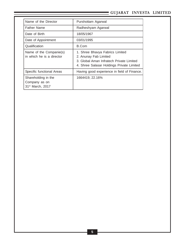| Name of the Director                                                 | Purshottam Agarwal                                                                                                                                |
|----------------------------------------------------------------------|---------------------------------------------------------------------------------------------------------------------------------------------------|
| <b>Father Name</b>                                                   | Radheshyam Agarwal                                                                                                                                |
| Date of Birth                                                        | 18/05/1967                                                                                                                                        |
| Date of Appointment                                                  | 03/01/1995                                                                                                                                        |
| Qualification                                                        | B.Com                                                                                                                                             |
| Name of the Companie(s)<br>in which he is a director                 | 1. Shree Bhavya Fabrics Limited<br>2. Anunay Fab Limited<br>3. Global Aman Infratech Private Limited<br>4. Shree Salasar Holdings Private Limited |
| Specific functional Areas                                            | Having good experience in field of Finance.                                                                                                       |
| Shareholding in the<br>Company as on<br>31 <sup>st</sup> March, 2017 | 1664419, 22.16%                                                                                                                                   |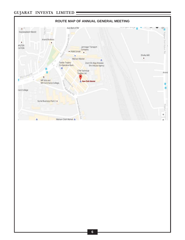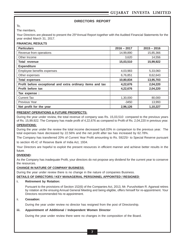#### **DIRECTORS REPORT**

To,

The members,

Your Directors are pleased to present the 25<sup>th</sup>Annual Report together with the Audited Financial Statements for the year ended March 31, 2017.

#### **FINANCIAL RESULTS**

| <b>Particulars</b>                                         | $2016 - 2017$ | $2015 - 2016$ |
|------------------------------------------------------------|---------------|---------------|
| Revenue from operations                                    | 14,99,890     | 15,85,366     |
| Other Income                                               | 3,620         | 14,556        |
| <b>Total revenue</b>                                       | 15,03,510     | 15,99,922     |
| <b>Expenditure</b>                                         |               |               |
| Employee benefits expenses                                 | 4,03,983      | 5,33,060      |
| Other expenses                                             | 6,76,851      | 8,62,643      |
| <b>Total expenses</b>                                      | 10,80,834     | 13,95,703     |
| Profit before exceptional and extra ordinary items and tax | 4,22,676      | 2,04,220      |
| Profit before tax                                          | 4,22,676      | 2,04,220      |
| Tax expense :                                              |               |               |
| <b>Current Tax</b>                                         | 1,30,000      | 80,000        |
| <b>Previous Year</b>                                       | $-3450$       | 13,993        |
| Net profit for the year                                    | 2,96,126      | 1,10,227      |

#### **PRESENT OPERATIONS & FUTURE PROSPECTS:**

During the year under review, the total revenue of company was Rs. 15,03,510 compared to the previous years of Rs. 15,99,922. The Company has made profit of 4,22,676 as compared to Profit of Rs. 2,04,220 in previous year.

#### **OPERATIONS:**

During the year under the review the total income decreased by6.03% in comparison to the previous year. The total expenses have decreased by 22.56% and the net profit after tax has increased by 62.78%.

The Company has transferred 20% of Current Year Profit amounting to Rs. 59225/- to Special Reserve pursuant to section 45-IC of Reserve Bank of India Act, 1934.

Your Directors are hopeful to exploit the present resources in efficient manner and achieve better results in the future.

#### **DIVIDEND:**

As the Company has inadequate Profit, your directors do not propose any dividend for the current year to conserve the resources.

#### **CHANGE IN NATURE OF COMPANY BUSINESS**:

During the year under review there is no change in the nature of companies Business.

#### **DETAILS OF DIRECTORS / KEY MANAGERIAL PERSONNEL APPOINTED / RESIGNED**:

#### **i. Retirement by Rotation:**

Pursuant to the provisions of Section 152(6) of the Companies Act, 2013, Mr. Purushottam R. Agarwal retires by rotation at the ensuing Annual General Meeting and being eligible, offers himself for re-appointment. Your Directors recommended his re-appointment.

#### ii. **Cessation:**

During the year under review no director has resigned from the post of Directorship.

#### **iii. Appointment of Additional / Independent Women Director**

During the year under review there were no changes in the composition of the Board.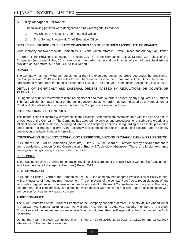#### **iv. Key Managerial Personnel:**

The following persons were designated as Key Managerial Personnel:

- 1. Mr. Shrikant Y. Solanki, Chief Financial Officer
- 2. Smt. Somna P. Agarwal, Chief Executive Officer

#### **DETAILS OF HOLDING / SUBSIDARY COMPANIES / JOINT VENTURES / ASSOCIATE COMPANIES :**

Your Company has two associate Companies i.e. Global Aman Infratech Private Limited and Anunay Fab Limited

In terms of the Provisions contained in Section 129 (3) of the Companies Act, 2013 read with rule 5 of the Companies (Accounts) Rules, 2014, a report on the performance and the financial of each of the subsidiaries is provided as **Annexure A** i.e **'AOC-1'** to this Report.

#### **DEPOSIT :**

The Company has not invited any deposit other than the exempted deposit as prescribed under the provision of the Companies Act, 2013 and the rules framed there under, as amended from time to time. Hence there are no particulars to report about the deposit falling under Rule 8 (5) (v) and (vi) of Companies ( Accounts ) Rules, 2014.

#### **DETAILS OF SIGNIFICANT AND MATERIAL ORDERS PASSED BY REGULATORS OR COURTS OR TRIBUNALS:**

During the year under review there **were no** significant and material orders passed by any Regulators or Court or Tribunals which may have impact on the going concern status. No order has been passed by any Regulators or Court or Tribunals which may have impact on the Company's operation in future.

#### **INTERNAL FINANCIAL CONTROLS**:

The internal financial controls with reference to the Financial Statements are commensurate with the size and nature of business of the Company. The Company has adopted the policies and procedures for ensuring the orderly and efficient conduct of its business, including adherence to Company's policies, safeguarding of its assets, prevention and detection of frauds and errors, the accuracy and completeness of the accounting records, and the timely preparation of reliable financial information.

#### **CONSERVATION OF ENERGY, TECHNOLOGY ABSORPTION, FOREIGN EXCHANGE EARNINGS AND OUTGO**:

Pursuant to Rule 8 (3) of Companies (Accounts) Rules, 2014, the Board of Directors hereby declares that there are no particulars to report for the Conservation of Energy & Technology Absorption. There is no foreign exchange earnings and outgo during the year under the review.

#### **PERSONNEL**:

There was no employee drawing remuneration requiring disclosure under the Rule 5 (2) of Companies (Appointment and Remuneration of Managerial Personnel) Rules, 2014.

#### **VIGIL MECHANISM**

Pursuant to Section 177(9) of the Companies Act, 2013, the company has adopted Whistle Blower Policy to deal with any instance of fraud and mismanagement. The employees of the company are free to report violations of any laws, rules, regulations and concerns about unethical conduct to the Audit Committee under this policy. The policy ensures that strict confidentiality is maintained whilst dealing with concerns and also that no discrimination with any person for a genuinely raised concern

#### **AUDIT COMMITTEE**

The Audit Committee of the Board of Directors of the Company consisted of three Directors viz. Mr. Anandkumar P. Agarwal, Mr. Sumant Laxminarayan Periwal and Mrs. Somna P. Agarwal. Majority members of the Audit Committee are Independent and non-executive Directors. Mr. Anandkumar P. Agarwal, is the Chairman of the Audit Committee.

During the year the Audit Committee met 4 times on 30.05.2016, 11.08.2016, 14.11.2016 and 13.02.2017 attendance of the members as under: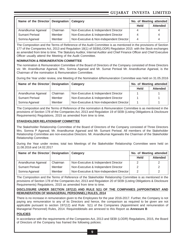| Name of the Director   Designation |          | Category                                 |             | No. of Meeting attended |  |
|------------------------------------|----------|------------------------------------------|-------------|-------------------------|--|
|                                    |          |                                          | <b>Held</b> | <b>Attended</b>         |  |
| Anandkumar Agarwal                 | Chairman | Non-Executive & Independent Director     |             | 4                       |  |
| <b>Sumant Periwal</b>              | Member   | Non-Executive & Independent Director     |             | 4                       |  |
| Somna Agarwal                      | Member   | Non-Executive & Non-Independent Director | 4           | 4                       |  |

The Composition and the Terms of Reference of the Audit Committee is as mentioned in the provisions of Section 177 of the Companies Act, 2013 and Regulation 18(1) of SEBI(LODR) Regulation 2015 with the Stock exchanges as amended from time to time. The Statutory Auditor, Internal Auditor and Chief Finance Officer and Chief Executive Officer usually attend the Meeting of the Audit Committee.

#### **NOMINATION & REMUNERATION COMMITTEE**

The nomination & Remuneration Committee of the Board of Directors of the Company consisted of three Directors viz. Mr. Anandkumar Agarwal, Mrs. Somna Agarwal and Mr. Sumat Periwal Mr. Anandkumar Agarwal, is the Chairman of the nomination & Remuneration Committee.

During the Year under review, one Meeting of the Nomination &Remuneration Committee was held on 31.05.2016

| Name of the Director   Designation   Category |          |                                          | No. of Meeting attended |                 |
|-----------------------------------------------|----------|------------------------------------------|-------------------------|-----------------|
|                                               |          |                                          | <b>Held</b>             | <b>Attended</b> |
| Anandkumar Agarwal                            | Chairman | Non-Executive & Independent Director     |                         |                 |
| <b>Sumant Periwal</b>                         | Member   | Non-Executive & Independent Director     |                         |                 |
| Somna Agarwal                                 | Member   | Non-Executive & Non-Independent Director |                         |                 |

The Composition and the Terms of Reference of the nomination & Remuneration Committee is as mentioned in the provisions of Section 178 of the Companies Act, 2013 and Regulation 19 of SEBI (Listing Obligations & Disclosure Requirements) Regulations, 2015 as amended from time to time.

#### **STAKEHOLDER RELATIONSHIP COMMITTEE**

The Stakeholder Relationship Committee of the Board of Directors of the Company consisted of Three Directors Mrs. Somna P Agarwal, Mr. Anandkumar Agarwal and Mr. Sumant Periwal. All members of the Stakeholder Relationship Committee are non-executive Directors. Mr. Anandkumar Agarwalis the Chairman of the Stakeholder Relationship Committee.

During the Year under review, total two Meetings of the Stakeholder Relationship Committee were held on 11.08.2016 and 14.02.2017

| Name of the Director Designation |          | Category                                 | No. of Meeting attended |                 |
|----------------------------------|----------|------------------------------------------|-------------------------|-----------------|
|                                  |          |                                          | <b>Held</b>             | <b>Attended</b> |
| Anandkumar Agarwal               | Chairman | Non-Executive & Independent Director     |                         | 2               |
| <b>Sumant Periwal</b>            | Member   | Non-Executive & Independent Director     |                         | 2               |
| Somna Agarwal                    | Member   | Non-Executive & Non-Independent Director | 2                       | 2               |

The Composition and the Terms of Reference of the Stakeholder Relationship Committee is as mentioned in the provisions of Section 178 of the Companies Act, 2013 and Regulation 20 of SEBI (Listing Obligations & Disclosure Requirements) Regulations, 2015 as amended from time to time.

#### **DISCLOSURE UNDER SECTION 197(12) AND RULE 5(1) OF THE COMPANIES (APPOINTMENT AND REMUNERATION OF MANAGERIAL PERSONNEL) RULES, 2014**

There is no increase in remuneration given to the Employees for the year 2016-2017. Further, the Company is not paying any remuneration to any of its Directors and hence, the comparison as required to be given are not applicable pursuant to section 197(12) and Rule 5(1) of the Companies (Appointment and remuneration of Managerial Personnel) Rules, 2014. Requireddetails are annexed to this Report as **Annexure B**

#### **POLICIES**

In accordance with the requirements of the Companies Act, 2013 and SEBI (LODR) Regulations, 2015, the Board of Directors of the Company has framed the following policies: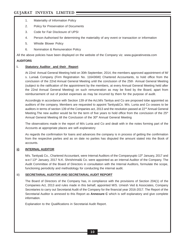- 1. Materiality of Information Policy
- 2. Policy for Preservation of Documents
- 3. Code for Fair Disclosure of UPSI
- 4. Person Authorised for determining the materiality of any event or transaction or information
- 5. Whistle Blower Policy
- 6. Nomination & Remuneration Policy

All the above policies have been displayed on the website of the Company viz. www.gujaratinvesta.com

#### **AUDITORS**

#### **i. Statutory Auditor and their Report**

At 22nd Annual General Meeting held on 30th September, 2014, the members approved appointment of M/ s. Lunia& Company (Firm Registration No. 116436W) Chartered Accountants, to hold office from the conclusion of the 22nd Annual General Meeting until the conclusion of the 25th Annual General Meeting (subject to the ratification of the appointment by the members, at every Annual General Meeting held after the 22nd Annual General Meeting) on such remuneration as may be fixed by the Board, apart from reimbursement of out of pocket expenses as may be incurred by them for the purpose of audit.

Accordingly in accordance with Section 139 of the Act,M/s Tantiya and Co are proposed tobe appointed as auditors of the company. Members are requested to appoint Tantiya&Co. M/s. Lunia and Co ceases to be auditors in terms of section 139 of the Companies act, 2013 and the resolution passed at 22<sup>nd</sup> Annual General Meeting. The new auditor would be for the term of five years to hold office from the conclusion of the 25<sup>th</sup> Annual General Meeting till the Conclusion of the 30<sup>th</sup> Annual General Meeting

The observations made in the report of M/s Lunia and Co and dealt with in the notes forming part of the Accounts at appropriate places are self–explanatory

As regards the confirmation for loans and advances the company is in process of getting the confirmation from the respective parties and as on date no parties has disputed the amount stated into the Book of accounts.

#### **ii) INTERNAL AUDITOR**

M/s. Tantiya& Co., Chartered Accountant, were Internal Auditors of the Companyupto 13<sup>th</sup> January, 2017 and w.e.f 13<sup>th</sup> January, 2017 N.K. Shrishrimal& Co. were appointed as an internal Auditor of the Company. The Audit Committee of the Board of Directors in consultation with the Internal Auditors, formulate the scope, functioning periodicity and methodology for conducting the internal audit.

#### iii) **SECRETARIAL AUDITOR AND SECRETARIAL AUDIT REPORT**

The Board of Directors of the Company has, in compliance with the provisions of Section 204(1) of the Companies Act, 2013 and rules made in this behalf, appointed M/S. Umesh Ved & Associates, Company Secretaries to carry out Secretarial Audit of the Company for the financial year 2016-2017. The Report of the Secretarial Auditor is annexed to this Report as **Annexure C** which is self explanatory and give complete information.

Explanation to the Qualifications in Secretarial Audit Report.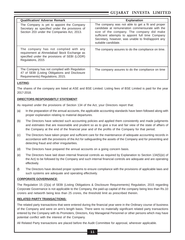| <b>Qualification/ Adverse Remark</b>                                                                                                                      | <b>Explanation</b>                                                                                                                                                                                                                                                                |
|-----------------------------------------------------------------------------------------------------------------------------------------------------------|-----------------------------------------------------------------------------------------------------------------------------------------------------------------------------------------------------------------------------------------------------------------------------------|
| The Company is yet to appoint the Company<br>Secretary as specified under the provisions of<br>Section 203 under the Companies Act, 2013.                 | The company was not able to get a fit and proper<br>candidate at remuneration commensurate with the<br>size of the company. The company did make<br>sufficient attempts to appoint full time Company<br>Secretary, however, was unable to find/appoint any<br>suitable candidate. |
| The company has not complied with any<br>requirement at Ahmedabad Stock Exchange as<br>specified under the provisions of SEBI (LODR)<br>Regulations, 2015 | The company assures to do the compliance on time.                                                                                                                                                                                                                                 |
| The Company has not complied with Regulation<br>47 of SEBI (Listing Obligations and Disclosure<br>Requirements) Regulations, 2015.                        | The company assures to do the compliance on time                                                                                                                                                                                                                                  |

#### **LISTING**:

The shares of the company are listed at ASE and BSE Limited. Listing fees of BSE Limited is paid for the year 2017-2018.

#### **DIRECTORS RESPONSIBITLY STATEMENT**:

As required under the provisions of Section 134 of the Act, your Directors report that:

- (a) In the preparation of the annual accounts, the applicable accounting standards have been followed along with proper explanation relating to material departures.
- (b) The Directors have selected such accounting policies and applied them consistently and made judgments and estimates that are reasonable and prudent so as to give a true and fair view of the state of affairs of the Company at the end of the financial year and of the profits of the Company for that period.
- (c) The Directors have taken proper and sufficient care for the maintenance of adequate accounting records in accordance with the provisions of the Act for safeguarding the assets of the Company and for preventing and detecting fraud and other irregularities.
- (d) The Directors have prepared the annual accounts on a going concern basis.
- (e) The Directors have laid down internal financial controls as required by Explanation to Section 134(5)(e) of the Act) to be followed by the Company and such internal financial controls are adequate and are operating effectively.
- (f) The Directors have devised proper systems to ensure compliance with the provisions of applicable laws and such systems are adequate and operating effectively.

#### **CORPORATE GOVERNANCE**:

The Regulation 15 (2)(a) of SEBI (Listing Obligations & Disclosure Requirements) Regulation, 2015 regarding Corporate Governance is not applicable to the Company, the paid-up capital of the company being less than Rs.10 crorers and networth being less than 25 crores, the threshold limit as prescribed therein.

#### **RELATED PARTY TRANSACTIONS:**

The related party transactions that were entered during the financial year were in the Ordinary course of business of the Company and were on arm's length basis. There were no materially significant related party transactions entered by the Company with its Promoters, Directors, Key Managerial Personnel or other persons which may have potential conflict with the interest of the Company.

All Related Party transactions are placed before the Audit Committee for approval, wherever applicable.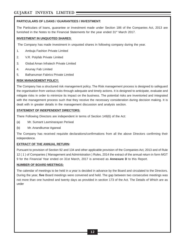#### **PARTICULARS OF LOANS / GUARANTEES / INVESTMENT:**

The Particulars of loans, guarantee or investment made under Section 186 of the Companies Act, 2013 are furnished in the Notes to the Financial Statements for the year ended  $31<sup>st</sup>$  March 2017.

#### **INVESTMENT IN UNQUOTED SHARES**:

The Company has made investment in unquoted shares in following company during the year.

- 1. Ambuja Fashion Private Limited
- 2. V.R. Polyfab Private Limited
- 3. Global Aman Infratech Private Limited
- 4. Anunay Fab Limited
- 5. Balhanuman Fabrics Private Limited

#### **RISK MANAGEMENT POLICY:**

The Company has a structured risk management policy. The Risk management process is designed to safeguard the organisation from various risks through adequate and timely actions. It is designed to anticipate, evaluate and mitigate risks in order to minimize its impact on the business. The potential risks are inventoried and integrated with the management process such that they receive the necessary consideration during decision making. It is dealt with in greater details in the management discussion and analysis section.

#### **STATEMENT OF INDEPENDENT DIRECTORS:**

There Following Directors are independent in terms of Section 149(6) of the Act:

- (a) Mr. Sumant Laxminarayan Periwal
- (b) Mr. Anandkumar Agarwal

The Company has received requisite declarations/confirmations from all the above Directors confirming their independence.

#### **EXTRACT OF THE ANNUAL RETURN:**

Pursuant to provision of Section 92 and 134 and other applicable provision of the Companies Act, 2013 and of Rule 12 ( 1 ) of Companies ( Management and Administration ) Rules, 2014 the extract of the annual return in form MGT 9 for the Financial Year ended on 31st March, 2017 is annexed as **Annexure D** to this Report.

#### **NUMBER OF BOARD MEETINGS:**

The calendar of meetings to be held in a year is decided in advance by the Board and circulated to the Directors. During the year, **five** Board meetings were convened and held. The gap between two consecutive meetings was not more than one hundred and twenty days as provided in section 173 of the Act. The Details of Which are as under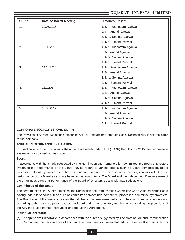| Sr. No. | Date of Board Meeting | <b>Directors Present</b>  |
|---------|-----------------------|---------------------------|
| 1.      | 30.05.2016            | 1. Mr. Purshottam Agarwal |
|         |                       | 2. Mr. Anand Agarwal      |
|         |                       | 3. Mrs. Somna Agarwal     |
|         |                       | 4. Mr. Sumant Periwal     |
| 2.      | 12.08.2016            | 1. Mr. Purshottam Agarwal |
|         |                       | 2. Mr. Anand Agarwal      |
|         |                       | 3. Mrs. Somna Agarwal     |
|         |                       | 4. Mr. Sumant Periwal     |
| 3.      | 14.11.2016            | 1. Mr. Purshottam Agarwal |
|         |                       | 2. Mr. Anand Agarwal      |
|         |                       | 3. Mrs. Somna Agarwal     |
|         |                       | 4. Mr. Sumant Periwal     |
| 4.      | 13.1.2017             | 1. Mr. Purshottam Agarwal |
|         |                       | 2. Mr. Anand Agarwal      |
|         |                       | 3. Mrs. Somna Agarwal     |
|         |                       | 4. Mr. Sumant Periwal     |
| 5.      | 13.02.2017            | 1. Mr. Purshottam Agarwal |
|         |                       | 2. Mr. Anand Agarwal      |
|         |                       | 3. Mrs. Somna Agarwal     |
|         |                       | 4. Mr. Sumant Periwal     |

#### **CORPORATE SOCIAL RESPONSIBILITY:**

The Provision of Section 135 of the Companies Act, 2013 regarding Corporate Social Responsibility is not applicable to the company.

#### **ANNUAL PERFORMANCE EVALUATION**:

In compliance with the provisions of the Act and voluntarily under SEBI (LODR) Regulations, 2015, the performance evaluation was carried out as under:

#### **Board:**

In accordance with the criteria suggested by The Nomination and Remuneration Committee, the Board of Directors evaluated the performance of the Board, having regard to various criteria such as Board composition, Board processes, Board dynamics etc. The Independent Directors, at their separate meetings, also evaluated the performance of the Board as a whole based on various criteria. The Board and the Independent Directors were of the unanimous view that performance of the Board of Directors as a whole was satisfactory.

#### **Committees of the Board:**

The performance of the Audit Committee, the Nomination and Remuneration Committee was evaluated by the Board having regard to various criteria such as committee composition, committee, processes, committee dynamics etc. The Board was of the unanimous view that all the committees were performing their functions satisfactorily and according to the mandate prescribed by the Board under the regulatory requirements including the provisions of the Act, the Rules framed thereunder and the Listing Agreement.

#### **Individual Directors:**

**(a) Independent Directors:** In accordance with the criteria suggested by The Nomination and Remuneration Committee, the performance of each independent director was evaluated by the entire Board of Directors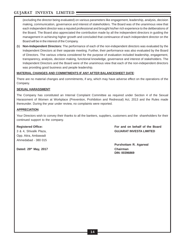(excluding the director being evaluated) on various parameters like engagement, leadership, analysis, decision making, communication, governance and interest of stakeholders. The Board was of the unanimous view that each independent director was a reputed professional and brought his/her rich experience to the deliberations of the Board. The Board also appreciated the contribution made by all the independent directors in guiding the management in achieving higher growth and concluded that continuance of each independent director on the Board will be in the interest of the Company.

(b) **Non-Independent Directors:** The performance of each of the non-independent directors was evaluated by the Independent Directors at their separate meeting. Further, their performance was also evaluated by the Board of Directors. The various criteria considered for the purpose of evaluation included leadership, engagement, transparency, analysis, decision making, functional knowledge, governance and interest of stakeholders. The Independent Directors and the Board were of the unanimous view that each of the non-independent directors was providing good business and people leadership.

#### **MATERIAL CHANGES AND COMMITMENTS IF ANY AFTER BALANCESHEET DATE**:

There are no material changes and commitments, if any, which may have adverse effect on the operations of the Company.

#### **SEXUAL HARASSMENT**:

The Company has constituted an Internal Complaint Committee as required under Section 4 of the Sexual Harassment of Women at Workplace (Prevention, Prohibition and Redressal) Act, 2013 and the Rules made thereunder. During the year under review, no complaints were reported.

#### **APPRECIATION**:

Your Directors wish to convey their thanks to all the bankers, suppliers, customers and the shareholders for their continued support to the company.

Opp. Atira, Ambawadi Ahmedabad - 380 015

**Dated: 29th May, 2017 Chairman**

**Registered Office: For and on behalf of the Board** 3 & 4, Shivalik Plaza, **GUJARAT INVESTA LIMITED**

> **Purshottam R. Agarwal DIN: 00396869**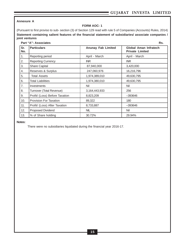#### **Annexure A**

#### **FORM AOC- 1**

(Pursuant to first proviso to sub- section (3) of Section 129 read with rule 5 of Companies (Accounts) Rules, 2014) **Statement containing salient features of the financial statement of subsidiaries/ associate companies / joint ventures**

#### **Part "A": Associates Rs.**

| Sr.<br>No. | <b>Particulars</b>             | <b>Anunay Fab Limited</b> | Global Aman Infratech<br><b>Private Limited</b> |
|------------|--------------------------------|---------------------------|-------------------------------------------------|
| 1.         | Reporting period               | April - March             | April - March                                   |
| 2.         | <b>Reporting Currency</b>      | <b>INR</b>                | INR.                                            |
| 3.         | <b>Share Capital</b>           | 87,940,000                | 3,420,000                                       |
| 4.         | Reserves & Surplus             | 247,060,976               | 16,216,796                                      |
| 5.         | <b>Total Assets</b>            | 1,974,389,010             | 49,630,795                                      |
| 6.         | <b>Total Liabilities</b>       | 1,974,380,010             | 49,630,795                                      |
| 7.         | <b>Investments</b>             | Nil                       | Nil                                             |
| 8.         | Turnover (Total Revenue)       | 3,164,443,933             | 256                                             |
| 9.         | Profit/ (Loss) Before Taxation | 8,823,209                 | $-393646$                                       |
| 10.        | <b>Provision For Taxation</b>  | 89,322                    | 180                                             |
| 11.        | Profit/ (Loss) After Taxation  | 8,733,887                 | $-393646$                                       |
| 12.        | Proposed Dividend              | <b>NIL</b>                | Nil                                             |
| 13.        | % of Share holding             | 30.72%                    | 29.94%                                          |

#### **Notes:**

There were no subsidiaries liquidated during the financial year 2016-17.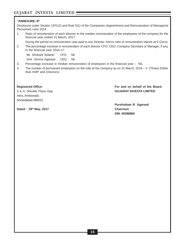#### **"ANNEXURE- B"**

Disclosure under Section 197(12) and Rule 5(1) of the Companies (Appointment and Remuneration of Managerial Personnel) rules 2014

1. Ratio of remuneration of each director to the median remuneration of the employees of the company for the financial year ended 31 March, 2017-

During the period no remuneration was paid to any Director, hence ratio of remuneration stands at 0 (Zero).

2. The percentage increase in remuneration of each director CFO, CEO, Company Secretary or Manager, if any, in the financial year 2016-17:

Mr. Shrikant Solanki CFO Nil

Smt. Somna Agarwal CEO Nil

- 3. Percentage increase in median remuneration of employees in the financial year NIL
- 4. The number of permanent employees on the rolls of the company as on 31 March, 2016 3 (Three) (Other than KMP and Directors)

Atira, Ambawadi, Ahmedabad-380015

**Registered Office: For and on behalf of the Board** 3 & 4, Shivalik Plaza Opp. **GUJARAT INVESTA LIMITED**

Dated : 29<sup>th</sup> May, 2017 **Chairman** 

**Purshottam R. Agarwal DIN: 00396869**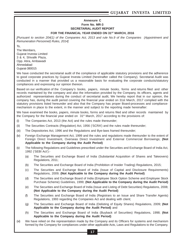#### **Annexure C Form No. MR-3 SECRETARIAL AUDIT REPORT FOR THE FINANICAL YEAR ENDED ON 31ST MARCH, 2016**

[Pursuant to section 204(1) of the Companies Act, 2013 and rule No.9 of the Companies (Appointment and Remuneration Personnel) Rules, 2014]

To,

The Members, Gujarat Investa Limited 3 & 4, Shivalik Plaza, Opp. Atira, Ambawadi Ahmedabad Gujarat-380015

We have conducted the secretarial audit of the compliance of applicable statutory provisions and the adherence to good corporate practices by Gujarat Investa Limited (hereinafter called the Company). Secretarial Audit was conducted in a manner that provided us a reasonable basis for evaluating the corporate conducts/statutory compliances and expressing our opinion thereon.

Based on our verification of the Company's books, papers, minute books, forms and returns filed and other records maintained by the company and also the information provided by the Company, its officers, agents and authorized representatives during the conduct of secretarial audit, We hereby report that in our opinion, the company has, during the audit period covering the financial year ended on 31st March, 2017 complied with the statutory provisions listed hereunder and also that the Company has proper Board-processes and compliancemechanism in place to the extent, in the manner and subject to the reporting made hereinafter:

We have examined the books, papers, minute books, forms and returns filed and other records maintained by the Company for the financial year ended on  $31<sup>st</sup>$  March, 2017 according to the provisions of:

- (i) The Companies Act, 2013 (the Act) and the rules made thereunder;
- (ii) The Securities Contracts (Regulation) Act, 1956 ('SCRA') and the rules made thereunder;
- (iii) The Depositories Act, 1996 and the Regulations and Bye-laws framed thereunder;
- (iv) Foreign Exchange Management Act, 1999 and the rules and regulations made thereunder to the extent of Foreign Direct Investment, Overseas Direct Investment and External Commercial Borrowings; **(Not Applicable to the Company during the Audit Period)**
- (v) The following Regulations and Guidelines prescribed under the Securities and Exchange Board of India Act, 1992 ('SEBI Act'):-
	- (a) The Securities and Exchange Board of India (Substantial Acquisition of Shares and Takeovers) Regulations, 2011;
	- (b) The Securities and Exchange Board of India (Prohibition of Insider Trading) Regulations, 2015;
	- (c) The Securities and Exchange Board of India (Issue of Capital and Disclosure Requirements) Regulations, 2009; **(Not Applicable to the Company during the Audit Period)**
	- (d) The Securities and Exchange Board of India (Employee Stock Option Scheme and Employee Stock Purchase Scheme) Guidelines, 1999; **(Not Applicable to the Company during the Audit Period)**
	- (e) The Securities and Exchange Board of India (Issue and Listing of Debt Securities) Regulations, 2008; **(Not Applicable to the Company during the Audit Period)**
	- (f) The Securities and Exchange Board of India (Registrars to an Issue and Share Transfer Agents) Regulations, 1993 regarding the Companies Act and dealing with client;
	- (g) The Securities and Exchange Board of India (Delisting of Equity Shares) Regulations, 2009; **(Not Applicable to the Company during the Audit Period)** and
	- (h) The Securities and Exchange Board of India (Buyback of Securities) Regulations, 1998; **(Not Applicable to the Company during the Audit Period)**
- (vi) We have relied on the representation made by the Company and its Officers for systems and mechanism formed by the Company for compliances under other applicable Acts, Laws and Regulations to the Company.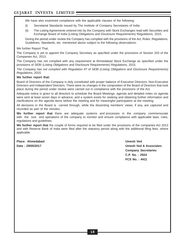We have also examined compliance with the applicable clauses of the following:

- (i) Secretarial Standards issued by The Institute of Company Secretaries of India
- (ii) The Listing Agreements entered into by the Company with Stock Exchanges read with Securities and Exchange Board of India (Listing Obligations and Disclosure Requirements) Regulations, 2015.

During the period under review the Company has complied with the provisions of the Act, Rules, Regulations, Guidelines, Standards, etc. mentioned above subject to the following observations:

We further Report That,

The Company is yet to appoint the Company Secretary as specified under the provisions of Section 203 of the Companies Act, 2013.

The Company has not complied with any requirement at Ahmedabad Stock Exchange as specified under the provisions of SEBI (Listing Obligations and Disclosure Requirements) Regulations, 2015.

The Company has not complied with Regulation 47 of SEBI (Listing Obligations and Disclosure Requirements) Regulations, 2015.

#### **We further report that:**

Board of Directors of the Company is duly constituted with proper balance of Executive Directors, Non-Executive Directors and Independent Directors. There were no changes in the composition of the Board of Directors that took place during the period under review were carried out in compliance with the provisions of the Act.

Adequate notice is given to all directors to schedule the Board Meetings, agenda and detailed notes on agenda were sent at least seven days in advance, and a system exists for seeking and obtaining further information and clarifications on the agenda items before the meeting and for meaningful participation at the meeting.

All decisions in the Board is carried through, while the dissenting members' views, if any, are captured and recorded as part of the minutes.

**We further report that** there are adequate systems and processes in the company commensurate with the size and operations of the company to monitor and ensure compliance with applicable laws, rules, regulations and guidelines.

**We further report that** the couple of forms required to be filed under the provisions of the companies Act 2013 and with Reserve Bank of India were filed after the statutory period along with the additional filing fees, where applicable.

**Place: Ahmedabad Umesh Ved**

**Date : 29/05/2017 Umesh Ved & Associates Company Secretaries C.P. No. : 2924 FCS No. : 4411**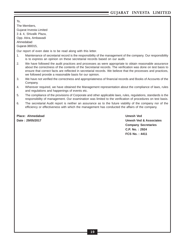To, The Members, Gujarat Investa Limited 3 & 4, Shivalik Plaza, Opp. Atira, Ambawadi Ahmedabad Gujarat-380015,

Our report of even date is to be read along with this letter.

- 1. Maintenance of secretarial record is the responsibility of the management of the company. Our responsibility is to express an opinion on these secretarial records based on our audit.
- 2. We have followed the audit practices and processes as were appropriate to obtain reasonable assurance about the correctness of the contents of the Secretarial records. The verification was done on test basis to ensure that correct facts are reflected in secretarial records. We believe that the processes and practices, we followed provide a reasonable basis for our opinion.
- 3. We have not verified the correctness and appropriateness of financial records and Books of Accounts of the Company.
- 4. Wherever required, we have obtained the Management representation about the compliance of laws, rules and regulations and happenings of events etc.
- 5. The compliance of the provisions of Corporate and other applicable laws, rules, regulations, standards is the responsibility of management. Our examination was limited to the verification of procedures on test basis.
- 6. The secretarial Audit report is neither an assurance as to the future viability of the company nor of the efficiency or effectiveness with which the management has conducted the affairs of the company.

**Place: Ahmedabad Umesh Ved**

**Date : 29/05/2017 Umesh Ved & Associates Company Secretaries C.P. No. : 2924 FCS No. : 4411**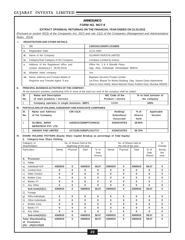#### **ANNEXURE D**

**FORM NO. MGT-9**

#### **EXTRACT OFANNUAL RETURNAS ON THE FINANCIAL YEAR ENDED ON 31.03.2016**

[Pursuant to section 92(3) of the Companies Act, 2013 and rule 12(1) of the Companies (Management and Administration) Rules, 2014]

#### **I. REGISTRATION AND OTHER DETAILS:**

| т.                                                                                | <b>CIN</b>                                                                   | L65910GJ1993PLC018858                                                                                                                                                                   |  |
|-----------------------------------------------------------------------------------|------------------------------------------------------------------------------|-----------------------------------------------------------------------------------------------------------------------------------------------------------------------------------------|--|
| ii.                                                                               | <b>Registration Date</b>                                                     | 22.01.1993                                                                                                                                                                              |  |
| iii.                                                                              | Name of the Company                                                          | GUJARAT INVESTA LIMITED                                                                                                                                                                 |  |
| iv.                                                                               | Category/Sub-Category of the Company                                         | Company Limited by shares                                                                                                                                                               |  |
| Address of the Registered office and<br>v.<br>contact details (w.e.f. 28.08.2015) |                                                                              | Office No. 3 & 4 Shivalik Plaza<br>Opp. Atira, Ambawadi, Ahmedabad 380015                                                                                                               |  |
| vi.                                                                               | Whether listed company                                                       | Yes                                                                                                                                                                                     |  |
| vii.                                                                              | Name, Address and Contact details of<br>Registrar and Transfer Agent, if any | <b>Bigshare Services Private Limited</b><br>1st Floor, Bharat Tin Works Building, Opp. Vasant Oasis Apartments<br>(next to Keys Hotel), Marol Maroshi Road, Andheri East, Mumbai 400059 |  |

#### **II. PRINCIPAL BUSINESS ACTIVITIES OF THE COMPANY :**

All the business activities contributing 10% or more of the total turn over of the company shall be stated:-

| ISI. | Name and Description                      | NIC Code of the          | % to total turnover of |
|------|-------------------------------------------|--------------------------|------------------------|
| No.  | of main products / services               | <b>Product / service</b> | the company            |
|      | Company operates in single business- NBFC | 64990                    | 100%                   |

#### **III. PARTICULARS OF HOLDING, SUBSIDIARY AND ASSOCIATE COMPANIES**

| SI. | Name and Address           | CIN/GLN               | Holding/          | $%$ of        | Applicable     |
|-----|----------------------------|-----------------------|-------------------|---------------|----------------|
| No. | of the Company.            |                       | Subsidiary/       | <b>Shares</b> | <b>Section</b> |
|     |                            |                       | Associate         | held          |                |
|     | <b>GLOBAL AMAN</b>         | U45201GJ2006PTC049212 | <b>ASSOCIATES</b> | 29.94%        |                |
|     | <b>INFRATECH PVT. LTD.</b> |                       |                   |               |                |
| 2.  | <b>ANUNAY FAB LIMITED</b>  | U17110GJ1992PLC017717 | <b>ASSOCIATES</b> | 30.72%        |                |

#### **IV. SHARE HOLDING PATTERN (Equity Share Capital Breakup as percentage of Total Equity)**

**i) Category-wise Share Holding**

|           | Category of<br>Shareholders                                           |          | No. of Shares held at<br>No. of Shares held at the<br>beginning of the year<br>the end of the year |          |                                  | $\%$<br>Change |             |          |                                  |                       |
|-----------|-----------------------------------------------------------------------|----------|----------------------------------------------------------------------------------------------------|----------|----------------------------------|----------------|-------------|----------|----------------------------------|-----------------------|
|           | <b>Particulars</b>                                                    | Demat    | Physical                                                                                           | Total    | $%$ of<br>Total<br><b>Shares</b> | Demat          | Physical    | Total    | $%$ of<br>Total<br><b>Shares</b> | during<br>the<br>year |
| Α.        | Promoter                                                              |          |                                                                                                    |          |                                  |                |             |          |                                  |                       |
| 1)        | Indian                                                                |          |                                                                                                    |          |                                  |                |             |          |                                  |                       |
| a)        | Individual/HUF                                                        | 4360919  | $\mathbf 0$                                                                                        | 4360919  | 58.07                            | 4360919        | $\bf{0}$    | 4360919  | 58.07                            | $\mathbf 0$           |
| b)        | <b>Central Govt</b>                                                   | 0        | 0                                                                                                  | 0        | 0                                | $\bf{0}$       | $\bf{0}$    | 0        | 0                                | 0                     |
| $\circ$ ) | State Govt(s)                                                         | $\bf{0}$ | $\bf{0}$                                                                                           | $\bf{0}$ | $\bf{0}$                         | $\bf{0}$       | $\bf{0}$    | $\bf{0}$ | 0                                | 0                     |
| d)        | <b>Bodies Corp</b>                                                    | $\bf{0}$ | 0                                                                                                  | 0        | 0                                | $\bf{0}$       | $\mathbf 0$ | 0        | 0                                | 0                     |
| e)        | Banks / Fl                                                            | $\bf{0}$ | 0                                                                                                  | 0        | $\bf{0}$                         | $\bf{0}$       | $\bf{0}$    | 0        | $\mathbf{0}$                     | 0                     |
| f)        | Any Other                                                             | $\bf{0}$ | $\bf{0}$                                                                                           | $\bf{0}$ | $\bf{0}$                         | $\bf{0}$       | $\bf{0}$    | $\bf{0}$ | 0                                | 0                     |
|           | Sub-total(A)(1):-                                                     | 4360919  | $\bf{0}$                                                                                           | 4360919  | 58.07                            | 4360919        | $\bf{0}$    | 4360919  | 58.07                            | 0                     |
| 2)        | Foreign                                                               |          |                                                                                                    |          |                                  |                |             |          |                                  |                       |
| g)        | NRIs-Individuals                                                      | $\bf{0}$ | $\mathbf 0$                                                                                        | $\bf{0}$ | 0                                | $\bf{0}$       | $\bf{0}$    | 0        | $\bf{0}$                         | 0                     |
| h)        | Other-Individuals                                                     | $\bf{0}$ | $\bf{0}$                                                                                           | $\bf{0}$ | $\bf{0}$                         | $\bf{0}$       | $\bf{0}$    | $\bf{0}$ | 0                                | 0                     |
| i)        | Bodies Corp.                                                          | $\bf{0}$ | $\bf{0}$                                                                                           | $\bf{0}$ | $\bf{0}$                         | $\bf{0}$       | $\bf{0}$    | $\bf{0}$ | 0                                | 0                     |
| j)        | Banks / FI                                                            | $\bf{0}$ | 0                                                                                                  | $\bf{0}$ | $\bf{0}$                         | $\bf{0}$       | $\bf{0}$    | 0        | 0                                | 0                     |
| k)        | Any Other                                                             | $\bf{0}$ | $\bf{0}$                                                                                           | 0        | $\bf{0}$                         | $\bf{0}$       | $\bf{0}$    | $\bf{0}$ | 0                                | 0                     |
|           | Sub-total(A)(2):-                                                     | 4360919  | $\bf{0}$                                                                                           | 4360919  | 58.07                            | 4360919        | $\bf{0}$    | 4360919  | 58.07                            | 0                     |
| of        | <b>Total Shareholding</b><br><b>Promoters</b><br>$(A)= (A)(1)+(A)(2)$ | 4360919  | $\bf{0}$                                                                                           | 4360919  | 58.07                            | 4360919        | $\bf{0}$    | 4360919  | 58.07                            | $\mathbf{0}$          |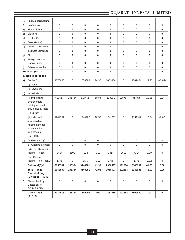| В. | <b>Public Shareholding</b>                                                                       |                     |                     |                     |                     |                     |              |                  |             |             |
|----|--------------------------------------------------------------------------------------------------|---------------------|---------------------|---------------------|---------------------|---------------------|--------------|------------------|-------------|-------------|
| 1. | <b>Institutions</b>                                                                              | $\mathbf 0$         | $\mathbf 0$         | $\overline{0}$      | 0                   | $\mathbf 0$         | $\mathbf 0$  | $\mathbf 0$      | $\mathbf 0$ | $\mathbf 0$ |
| a) | <b>Mutual Funds</b>                                                                              | 0                   | $\bf{0}$            | $\bf{0}$            | 0                   | $\bf{0}$            | 0            | 0                | $\mathbf 0$ | 0           |
| b) | Banks / FI                                                                                       | 0                   | $\bf{0}$            | $\bf{0}$            | 0                   | $\bf{0}$            | 0            | $\bf{0}$         | $\mathbf 0$ | 0           |
| c) | <b>Central Govt</b>                                                                              | 0                   | 0                   | 0                   | 0                   | $\bf{0}$            | 0            | 0                | $\mathbf 0$ | 0           |
| d) | State Govt(s)                                                                                    | 0                   | $\bf{0}$            | 0                   | 0                   | $\bf{0}$            | 0            | 0                | $\mathbf 0$ | $\bf{0}$    |
| e) | Venture Capital Funds                                                                            | 0                   | $\bf{0}$            | 0                   | 0                   | $\bf{0}$            | 0            | $\bf{0}$         | $\mathbf 0$ | $\mathbf 0$ |
| f) | Insurance Companies                                                                              | 0                   | 0                   | 0                   | 0                   | $\mathbf 0$         | 0            | $\bf{0}$         | $\mathbf 0$ | 0           |
| g) | <b>Flls</b>                                                                                      | 0                   | $\bf{0}$            | 0                   | 0                   | $\mathbf 0$         | 0            | 0                | $\mathbf 0$ | 0           |
| h) | Foreign Venture                                                                                  |                     |                     |                     |                     |                     |              |                  |             |             |
|    | <b>Capital Funds</b>                                                                             | 0                   | 0                   | 0                   | 0                   | 0                   | 0            | 0                | 0           | 0           |
| i) | Others (specify)                                                                                 | 0                   | $\bf{0}$            | 0                   | 0                   | $\mathbf 0$         | 0            | $\bf{0}$         | $\mathbf 0$ | 0           |
|    | Sub-total (B) (1)                                                                                | 0                   | $\bf{0}$            | 0                   | 0                   | $\mathbf 0$         | 0            | 0                | $\mathbf 0$ | $\bf{0}$    |
|    | 2. Non Institutions                                                                              |                     |                     |                     |                     |                     |              |                  |             |             |
| a) | Bodies Corp.                                                                                     | 1078686             | 0                   | 1078686             | 14.36               | 1081454             | 0            | 1081454          | 14.40       | $(-0.04)$   |
|    | (i) Indian                                                                                       |                     |                     |                     |                     |                     |              |                  |             |             |
|    | (ii) Overseas                                                                                    |                     |                     |                     |                     |                     |              |                  |             |             |
| b) | Individuals                                                                                      |                     |                     |                     |                     |                     |              |                  |             |             |
|    | (i) Individual                                                                                   | 622667              | 191784              | 814451              | 10.84               | 628291              | 188784       | 817075           | 10.88       | 0.04        |
|    | shareholders<br>holding nominal<br>share capital upto<br>Rs. 2 lakh                              |                     |                     |                     |                     |                     |              |                  |             |             |
|    | (ii) Individual<br>shareholders<br>holding nominal<br>share capital<br>in excess of<br>Rs 2 lakh | 1244287             | $\mathbf 0$         | 1244287             | 16.57               | 1241911             | $\mathbf{0}$ | 1241911          | 16.54       | $-0.03$     |
| C) | Others(Specify)                                                                                  | $\mathbf 0$         | $\mathbf 0$         | $\mathbf{0}$        | 0                   | $\mathbf 0$         | $\mathbf{0}$ | 0                | $\mathbf 0$ | $\mathbf 0$ |
|    | ci) Clearing Member                                                                              | 0                   | 0                   | 0                   | 0                   | $\mathbf 0$         | 0            | 0                | $\mathbf 0$ | 0           |
|    | c-ii) Non Resident<br>Indians (Repat.)                                                           | 3414                | 3600                | 7014                | 0.09                | 3414                | 3600         | 7014             | 0.09        | 0           |
|    | Non Resident<br>Indians (Non-Repat.)                                                             | 1775                | $\mathsf{O}\xspace$ | 1775                | 0.02                | 1775                | $\mathbf 0$  | 1775             | 0.02        | $\mathbf 0$ |
|    | Sub-total(B)(2)                                                                                  | 2953597             | 195384              | 3148981             | 41.93               | 2956597             | 192384       | 3148981          | 41.93       | 0.00        |
|    | <b>Total Public</b><br>Shareholding<br>$(B)=(B)(1) + (B)(2)$                                     | 2953597             | 195384              | 3148981             | 41.93               | 2956597             | 192384       | 3148981          | 41.93       | 0.00        |
|    | C. Shares held by<br>Custodian for<br><b>GDRs &amp; ADRs</b>                                     | $\mathsf{O}\xspace$ | $\mathsf 0$         | $\mathsf{O}\xspace$ | $\mathsf{O}\xspace$ | $\mathsf{O}\xspace$ | $\mathbf 0$  | $\boldsymbol{0}$ | $\mathbf 0$ | $\mathbf 0$ |
|    | <b>Grand Total</b><br>$(A+B+C)$                                                                  | 7314516             | 195384              | 7509900             | 100                 | 7317516             | 192384       | 7509900          | 100         | $\mathbf 0$ |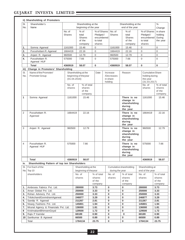|            | ii) Shareholding of Promoters                |                         |  |                                                     |                                                              |               |                                    |                                                                |                                                                       |                                            |
|------------|----------------------------------------------|-------------------------|--|-----------------------------------------------------|--------------------------------------------------------------|---------------|------------------------------------|----------------------------------------------------------------|-----------------------------------------------------------------------|--------------------------------------------|
| SI.<br>No. | Shareholder's<br>Name                        |                         |  | Shareholding at the<br>beginning of the year        |                                                              |               |                                    | Shareholding at the<br>end of the year                         |                                                                       | $\%$<br>Change                             |
|            |                                              | No. of<br><b>Shares</b> |  | % of<br>total<br><b>Shares</b><br>of the<br>company | % of Shares<br>Pledged /<br>encumbered<br>to total<br>shares |               | No. of<br><b>Shares</b>            | % of<br>total<br><b>Shares</b><br>of the<br>company            | % of Shares<br>Pledged /<br>encumbered<br>to total<br>shares          | in share<br>holding<br>During<br>the year  |
| 1.         | Somna Agarwal                                | 1161000                 |  | 15.46                                               | $\mathbf 0$                                                  |               | 1161000                            | 15.46                                                          | $\mathbf{0}$                                                          | $\mathbf 0$                                |
| 2.         | Purushottam R. Agarwal                       | 1664419                 |  | 22.16                                               | 0                                                            |               | 1664419                            | 22.16                                                          | $\mathbf{0}$                                                          | $\mathbf 0$                                |
| 3.         | Anjani R. Agarwal                            | 960500                  |  | 12.79                                               | 0                                                            |               | 960500                             | 12.79                                                          | $\mathbf{0}$                                                          | $\mathbf 0$                                |
| 4.         | Purushottam R.<br>Agarwal HUF                | 575000                  |  | 7.66                                                | $\mathbf 0$                                                  |               | 575000                             | 7.66                                                           | $\mathbf 0$                                                           | $\overline{0}$                             |
|            | <b>Total</b>                                 | 4360919                 |  | 58.07                                               | 0                                                            |               | 4360919                            | 58.07                                                          | $\bf{0}$                                                              | $\bf{0}$                                   |
| iii)       | Change in Promoters' Shareholding            |                         |  |                                                     |                                                              |               |                                    |                                                                |                                                                       |                                            |
| SI.<br>No. | Name of the Promoter/<br>Promoter Group      | (01.04.2016)            |  | Shareholding at the<br>beginning of theyear         | Date                                                         | holding       | Increase<br>/Decreases<br>in share | Reason                                                         | <b>Cumulative Share</b><br>holding during<br>the year<br>(31.03.2017) |                                            |
|            |                                              | No. of<br>shares        |  | % of total<br>shares<br>of the<br>company.          |                                                              |               |                                    |                                                                | No. of<br>shares                                                      | % of total<br>shares<br>of the<br>company. |
| 1          | Somna Agarwal                                | 1161000                 |  | 15.46                                               |                                                              |               |                                    | There is no<br>change in<br>shareholding<br>during<br>the year | 1161000                                                               | 15.46                                      |
| 2          | Purushottam R.<br>Agarwal                    | 1664419                 |  | 22.16                                               |                                                              |               |                                    | There is no<br>change in<br>shareholding<br>during<br>the year | 1664419                                                               | 22.16                                      |
| 3          | Anjani R. Agarwal                            | 960500                  |  | 12.79                                               |                                                              |               |                                    | There is no<br>change in<br>shareholding<br>during<br>the year | 960500                                                                | 12.79                                      |
| 4          | Purushottam R.<br>Agarwal HUF                | 575000                  |  | 7.66                                                |                                                              |               |                                    | There is no<br>change in<br>shareholding<br>during<br>the year | 575000                                                                | 7.66                                       |
|            | <b>Total</b>                                 | 4360919                 |  | 58.07                                               |                                                              |               |                                    |                                                                | 4360919                                                               | 58.07                                      |
| iv.        | Shareholding Pattern of top ten Shareholders |                         |  |                                                     |                                                              |               |                                    |                                                                |                                                                       |                                            |
| SI.        | For Each of the                              |                         |  | Shareholding at the                                 |                                                              |               |                                    | Cumulative shareholding                                        | Shareholding at                                                       |                                            |
|            | No. Top 10                                   |                         |  | beginning of theyear                                |                                                              |               | during the year                    |                                                                | end of the year                                                       |                                            |
|            | shareholders                                 |                         |  | No. of<br>shares                                    | % of total<br>shares<br>of the<br>company                    |               | No. of<br>shares                   | % of total<br>shares<br>of the<br>company                      | No. of<br>shares                                                      | % of total<br>shares<br>of the<br>company  |
| 1.         | Ambrosia Fabrics Pvt. Ltd.                   |                         |  | 280000                                              | 3.73                                                         | 0             |                                    | 0                                                              | 280000                                                                | 3.73                                       |
| 2.         | Aman Global Pvt. Ltd.                        |                         |  | 250000                                              | 3.33                                                         | 0             |                                    | 0                                                              | 250000                                                                | 3.33                                       |
| 3.         | Rohan Advisory Pvt. Ltd.                     |                         |  | 250000                                              | 3.33                                                         | 0             |                                    | 0                                                              | 250000                                                                | 3.33                                       |
| 4.         | TrilokchandGovindramAgarwal.                 |                         |  | 246877                                              | 3.29                                                         | $\pmb{0}$     |                                    | 0                                                              | 246877                                                                | 3.29                                       |
| 5.         | Sandip R. Agarwal                            |                         |  | 211267                                              | 2.81                                                         | 0             |                                    | 0                                                              | 211267                                                                | 2.81                                       |
| 6.         | Nisarg Fashions Pvt. Ltd.                    |                         |  | 145801                                              | 1.94                                                         | 0             |                                    | 0                                                              | 145801                                                                | 1.94                                       |
| 7.         | Mrunal Agency & Financials Pvt. Ltd.         |                         |  | 136000                                              | 1.81                                                         | 0             |                                    | 0                                                              | 136000                                                                | 1.81                                       |
| 8<br>9.    | KrishnakantBhimsenGoyal<br>Rajiv P Kamdar    |                         |  | 129500<br>68189                                     | 1.72<br>0.90                                                 | 0<br>$\bf{0}$ |                                    | 0<br>$\mathbf 0$                                               | 129500<br>68189                                                       | 1.72<br>0.90                               |
| 10         | Santkumar B Agrawal                          |                         |  | 66500                                               | 0.89                                                         | $\pmb{0}$     |                                    | 0                                                              | 66500                                                                 | 0.89                                       |
|            |                                              |                         |  |                                                     |                                                              |               |                                    |                                                                |                                                                       | 23.75                                      |
|            | Total                                        |                         |  | 1784134                                             | 23.75                                                        | 0             |                                    | 0                                                              | 1784134                                                               |                                            |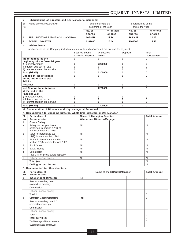| Name of the Directors/ KMP<br>SI. |                                                                                            |                |                                                                 | Shareholding at the |                            |                | Shareholding at the |                     |
|-----------------------------------|--------------------------------------------------------------------------------------------|----------------|-----------------------------------------------------------------|---------------------|----------------------------|----------------|---------------------|---------------------|
| No.                               |                                                                                            |                | beginning of the year                                           |                     |                            |                | end of the year     |                     |
|                                   |                                                                                            |                | No. of                                                          |                     | % of total                 |                | No. of              | % of total          |
| 1.                                | PURUSHOTTAM RADHESHYAM AGARWAL                                                             |                | shares<br>1664419                                               |                     | shares<br>22.16            |                | shares<br>1664419   | shares<br>22.16     |
|                                   |                                                                                            |                |                                                                 |                     |                            |                |                     |                     |
| $\overline{\mathbf{2}}$           | SOMNA AGARWAL                                                                              |                | 1161000                                                         |                     | 15.46                      |                | 1161000             | 15.46               |
| v.                                | <b>Indebtedness</b>                                                                        |                |                                                                 |                     |                            |                |                     |                     |
|                                   | Indebtedness of the Company including interest outstanding/accrued but not due for payment | Secured Loans  |                                                                 | Unsecured           |                            | Deposits       |                     | Total               |
|                                   |                                                                                            |                | excluding deposits                                              | Loans               |                            |                |                     | Indebtedness        |
|                                   | Indebtedness at the                                                                        | $\bf{0}$       |                                                                 | $\bf{0}$            |                            | $\bf{0}$       |                     | $\Omega$            |
|                                   | beginning of the financial year<br>i) Principal Amount                                     | 0              |                                                                 | 2200000             |                            | 0              |                     | 0                   |
|                                   | ii) Interest due but not paid                                                              | 0              |                                                                 | 0                   |                            | $\bf{0}$       |                     | 0                   |
|                                   | iii) Interest accrued but not due                                                          | 0              |                                                                 | $\bf{0}$            |                            | $\bf{0}$       |                     | 0                   |
|                                   | Total (i+ii+iii)                                                                           | $\overline{0}$ |                                                                 | 2200000             |                            | $\overline{0}$ |                     | $\overline{0}$      |
|                                   | Change in Indebtedness<br>during the financial year<br>Addition                            | $\bf{0}$       |                                                                 | $\bf{0}$            |                            | $\Omega$       |                     | $\mathbf{0}$        |
|                                   | Reduction                                                                                  | 0              |                                                                 | 0                   |                            | 0              |                     | 0                   |
|                                   | Net Change Indebtedness                                                                    | 0              |                                                                 | 2200000             |                            | $\bf{0}$       |                     | $\bf{0}$            |
|                                   | at the end of the                                                                          |                |                                                                 |                     |                            |                |                     |                     |
|                                   | financial year<br>i) Principal Amount                                                      | 0              |                                                                 |                     |                            | 0              |                     | 0                   |
|                                   | ii) Interest due but not paid                                                              | 0              |                                                                 | 0<br>0              |                            | 0              |                     | 0                   |
|                                   | iii) Interest accrued but not due                                                          | 0              |                                                                 | $\bf{0}$            |                            | $\bf{0}$       |                     | 0                   |
| Total (i+ii+iii)                  |                                                                                            | $\bf{0}$       |                                                                 | 2200000             |                            | $\bf{0}$       |                     | $\bf{0}$            |
|                                   | VI. Remuneration of Directors and Key Managerial Personnel                                 |                |                                                                 |                     |                            |                |                     |                     |
|                                   | A. Remuneration to Managing Director, Whole-time Directors and/or Manager:                 |                |                                                                 |                     |                            |                |                     |                     |
| SI.<br>No.                        | Particulars of<br>Remuneration                                                             |                | Name of Managing Director/<br><b>Wholetime Director/Manager</b> |                     |                            |                |                     | <b>Total Amount</b> |
| 1                                 | <b>Gross Salary</b>                                                                        |                |                                                                 |                     |                            |                |                     |                     |
| a                                 | Salary as per provisions<br>contained in section 17(1) of<br>the Income tax Act, 1961      | Nil            |                                                                 |                     |                            |                |                     | Nil                 |
| b                                 | Value of perquisites u/s<br>17(2) Income tax Act, 1961                                     | Nil            |                                                                 |                     |                            |                |                     | Nil                 |
| С                                 | Profits in lieu of salary under<br>section 17(3) Income tax Act, 1961                      | Nil            |                                                                 |                     |                            |                |                     | Nil                 |
| 2                                 | <b>Stock Option</b>                                                                        | Nil            |                                                                 |                     |                            |                |                     | Nil                 |
| 3<br>4                            | <b>Sweat Equity</b><br>Commission                                                          | Nil<br>Nil     |                                                                 |                     |                            |                |                     | Nil<br>Nil          |
|                                   | - as a % of profit others (specify)                                                        |                |                                                                 |                     |                            |                |                     |                     |
| 5                                 | Others, please specify:                                                                    | Nil            |                                                                 |                     |                            |                |                     | Nil                 |
|                                   | Total (A)                                                                                  |                |                                                                 |                     |                            |                |                     | Nil                 |
|                                   | Ceiling as per the Act                                                                     |                |                                                                 |                     |                            |                |                     | Nil                 |
|                                   | B. Remuneration to other directors:                                                        |                |                                                                 |                     |                            |                |                     |                     |
| SI.<br>No.                        | Particulars of<br>Remuneration                                                             |                |                                                                 |                     | Name of the MD/WTD/Manager |                |                     | <b>Total Amount</b> |
| 1                                 | <b>Independent Directors</b>                                                               | Nil            |                                                                 |                     |                            |                |                     | 0                   |
|                                   | Fee for attending board                                                                    |                |                                                                 |                     |                            |                |                     |                     |
|                                   | /committee meetings                                                                        |                |                                                                 |                     |                            |                |                     |                     |
|                                   | Commission                                                                                 |                |                                                                 |                     |                            |                |                     |                     |
|                                   | Others, please specify<br>Total 1                                                          |                |                                                                 |                     |                            |                |                     |                     |
| $\overline{2}$                    | <b>Other Non Executive Directors</b>                                                       |                | Nil                                                             |                     |                            |                |                     | 0<br>0              |
|                                   | Fee for attending board /                                                                  |                |                                                                 |                     |                            |                |                     |                     |
|                                   | committee meetings<br>Commission                                                           |                |                                                                 |                     |                            |                |                     |                     |
|                                   | Others, please specify                                                                     |                |                                                                 |                     |                            |                |                     |                     |
|                                   | Total 2                                                                                    |                |                                                                 |                     |                            |                |                     | $\bf{0}$            |
|                                   | Total $(B)=(1+2)$                                                                          |                |                                                                 |                     |                            |                |                     | $\mathbf 0$         |
|                                   | <b>Total Managerial Remuneration</b>                                                       |                |                                                                 |                     |                            |                |                     | $\mathbf 0$         |
|                                   | Overall Ceiling as per the Act                                                             |                |                                                                 |                     |                            |                |                     |                     |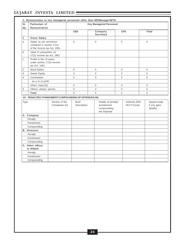-Punishment -Compounding **B. Directors** -Penalty -Punishment -Compounding **C. Other officer in default** -Penalty -Punishment -Compounding

| SI.            | Particulars of                                                                        |                                                       |                             | <b>Key Managerial Personnel</b>                                  |          |                               |                                         |
|----------------|---------------------------------------------------------------------------------------|-------------------------------------------------------|-----------------------------|------------------------------------------------------------------|----------|-------------------------------|-----------------------------------------|
| No.            | <b>Remuneration</b>                                                                   |                                                       |                             |                                                                  |          |                               |                                         |
|                |                                                                                       |                                                       | <b>CEO</b>                  | Company<br><b>Secretary</b>                                      |          | <b>CFO</b>                    | Total                                   |
| 1              | <b>Gross Salary</b>                                                                   |                                                       |                             |                                                                  |          |                               |                                         |
| a              | Salary as per provisions<br>contained in section 17(1)<br>of the Income tax Act, 1961 |                                                       | $\overline{0}$              | $\mathbf{0}$                                                     | $\Omega$ |                               | $\mathbf 0$                             |
| $\mathbf b$    | Value of perquisites u/s<br>17(2) Income tax Act, 1961                                |                                                       |                             |                                                                  |          |                               |                                         |
| C              | Profits in lieu of salary<br>under section 17(3) Income<br>tax Act, 1961              |                                                       |                             |                                                                  |          |                               |                                         |
| $\overline{2}$ | <b>Stock Option</b>                                                                   |                                                       | $\Omega$                    | $\Omega$                                                         | $\Omega$ |                               | $\Omega$                                |
| $\mathsf 3$    | Sweat Equity                                                                          |                                                       | $\mathbf{O}$                | $\Omega$                                                         | $\Omega$ |                               | $\Omega$                                |
| 4              | Commission                                                                            |                                                       | $\mathbf 0$                 | $\mathbf{0}$                                                     | $\Omega$ |                               | $\Omega$                                |
|                | - as a % of profit                                                                    |                                                       |                             |                                                                  |          |                               |                                         |
|                | others (specify)                                                                      |                                                       | $\Omega$                    | $\Omega$                                                         | $\Omega$ |                               | $\Omega$                                |
| 5              | Others, please specify:                                                               |                                                       | $\Omega$                    | $\Omega$                                                         | $\Omega$ |                               | $\Omega$                                |
|                | <b>Total</b>                                                                          |                                                       | $\Omega$                    | $\Omega$                                                         | 0        |                               | 0                                       |
|                |                                                                                       | VII. PENALTIES/PUNISHMENT/COMPOUNDING OF OFFENCES:NIL |                             |                                                                  |          |                               |                                         |
| Type           |                                                                                       | Section of the<br>Companies Act                       | <b>Brief</b><br>Description | Details of penalty/<br>punishment/<br>compounding<br>fee imposed |          | Authority [RD/<br>NCLT/Court] | Appeal made<br>if any (give<br>details) |
|                | A. Company                                                                            |                                                       |                             |                                                                  |          |                               |                                         |
|                | -Penalty                                                                              |                                                       |                             |                                                                  |          |                               |                                         |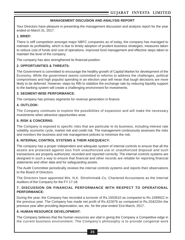## **MANAGEMENT DISCUSION AND ANALYSIS REPORT**

Your Directors have pleasure in presenting the management discussion and analysis report for the year ended on March 31, 2017.

#### **1. BRIEF:**

There is stiff competition amongst major NBFC companies as of today, the company has managed to maintain its profitability, which is due to timely adoption of prudent business strategies, measures taken to reduce cost of funds and cost of operations, improved fund management and effective steps taken to maintain the level of the company.

The company has also strengthened its financial position.

#### **2. OPPORTUNITIES & THREATS:**

The Government is committed to encourage the healthy growth of Capital Market for development of the Economy. While the government seems committed to reforms to address the challenges, political compromises and high populist spending in an election year will mean that tough decisions are more likely to be deferred. However, steps by RBI to stabilize the exchange rate by reducing liquidity support to the banking system will create a challenging environment for investments.

#### **3. SEGMENT-WISE PERFORMANCE:**

The company has primary segments for revenue generation in finance.

#### **4. OUTLOOK:**

The Company continues to explore the possibilities of expansion and will make the necessary investments when attractive opportunities arise.

### **5. RISK & CONCERNS:**

The Company is exposed to specific risks that are particular to its business, including interest rate volatility, economic cycle, market risk and credit risk. The management continuously assesses the risks and monitors the business and risk management policies to minimize the risk.

#### **6. INTERNAL CONTROL SYSTEMS & THEIR ADEQUEACY:**

The company has a proper independent and adequate system of internal controls to ensure that all the assets are protected against loss from unauthorized use or unauthorized disposal and such transactions are properly authorized, recorded and reported correctly. The internal controls systems are designed in such a way to ensure that financial and other records are reliable for reporting financial statements and other data and for safeguarding assets.

The Audit Committee periodically reviews the internal controls systems and reports their observations to the Board of Directors.

The Directors have appointed M/s. N.K. Shrishrimal& Co, Chartered Accountants as the Internal Auditors of the Company for the FY 17-18.

#### **7. DISCUSSION ON FINANCIAL PERFORMANCE WITH RESPECT TO OPERATIONAL PERFORMANCE:**

During the year, the Company has recorded a turnover of Rs.1503510 as compared to Rs.1599922 in the previous year. The Company has made net profit of Rs.422676 as compared to Rs.204220in the previous year after providing depreciation, tax, etc. for the year ended 31st March, 2017.

#### **8. HUMAN RESOURCE DEVELOPMENT:**

The Company believes that the human resources are vital in giving the Company a Competitive edge in the current business environment. The Company's philosophy is to provide congenial work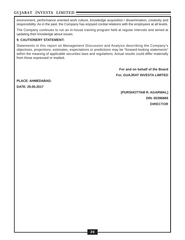environment, performance oriented work culture, knowledge acquisition / dissemination, creativity and responsibility. As in the past, the Company has enjoyed cordial relations with the employees at all levels.

The Company continues to run an in-house training program held at regular intervals and aimed at updating their knowledge about issues.

## **9. CAUTIONERY STATEMENT:**

Statements in this report on Management Discussion and Analysis describing the Company's objectives, projections, estimates, expectations or predictions may be "forward-looking statements" within the meaning of applicable securities laws and regulations. Actual results could differ materially from those expressed or implied**.**

> **For and on behalf of the Board For, GUAJRAT INVESTA LIMITED**

**PLACE: AHMEDABAD.**

**DATE: 29.05.2017**

**[PURSHOTTAM R. AGARWAL] DIN: 00396869 DIRECTOR**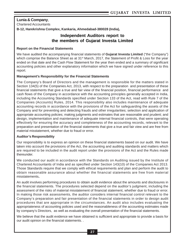## **Lunia & Company**,

Chartered Accountants

**B-12, Harekrishna Complex, Kankaria, Ahmedabad-380028 (India),**

## **Independent Auditors report to the members of Gujarat Investa Limited**

#### **Report on the Financial Statements**

We have audited the accompanying financial statements of **Gujarat Investa Limited** ("the Company") which comprise the Balance Sheet as at 31<sup>st</sup> March, 2017, the Statement of Profit & Loss for the year ended on that date and the Cash Flow Statement for the year then ended and a summary of significant accounting policies and other explanatory information which we have signed under reference to this report.

#### **Management's Responsibility for the Financial Statements**

The Company's Board of Directors and the management is responsible for the matters stated in Section 134(5) of the Companies Act, 2013, with respect to the preparation and presentation of these financial statements that give a true and fair view of the financial position, financial performance and cash flows of the Company in accordance with the accounting principles generally accepted in India, including the Accounting Standards specified under Section 133 of the Act, read with Rule 7 of the Companies (Accounts) Rules, 2014. This responsibility also includes maintenance of adequate accounting records in accordance with the provisions of the Act for safeguarding the assets of the Company and for preventing and detecting frauds and other irregularities; selection and application of appropriate accounting policies; making judgments and estimates that are reasonable and prudent; and design, implementation and maintenance of adequate internal financial controls, that were operating effectively for ensuring the accuracy and completeness of the accounting records, relevant to the preparation and presentation of the financial statements that give a true and fair view and are free from material misstatement, whether due to fraud or error.

#### **Auditor's Responsibility**

Our responsibility is to express an opinion on these financial statements based on our audit. We have taken into account the provisions of the Act, the accounting and auditing standards and matters which are required to be included in the audit report under the provisions of the Act and the Rules made thereunder.

We conducted our audit in accordance with the Standards on Auditing issued by the Institute of Chartered Accountants of India and as specified under Section 143(10) of the Companies Act 2013. Those Standards require that we comply with ethical requirements and plan and perform the audit to obtain reasonable assurance about whether the financial statements are free from material misstatements**.**

An audit involves performing procedures to obtain audit evidence about the amounts and disclosures in the financial statements. The procedures selected depend on the auditor's judgment, including the assessment of the risks of material misstatement of financial statement, whether due to fraud or error. In making those risk assessments, the auditor considers internal financial control relevant to the Company's preparation and fair presentation of the financial statements in order to design audit procedures that are appropriate in the circumstances. An audit also includes evaluating the appropriateness of accounting policies used and the reasonableness of the accounting estimates made by company's Directors, as well as evaluating the overall presentation of the financial statements.

We believe that the audit evidence we have obtained is sufficient and appropriate to provide a basis for our audit opinion on the financial statements. .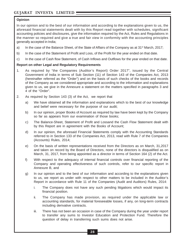### **Opinion**

In our opinion and to the best of our information and according to the explanations given to us, the aforesaid financial statements dealt with by this Report read together with schedules, significant accounting policies and disclosures, give the information required by the Act, Rules and Regulations in the manner so required and give a true and fair view in conformity with the accounting principles generally accepted in India;

- a) In the case of the Balance Sheet, of the State of Affairs of the Company as at  $31^{st}$  March, 2017;
- b) In the case of the Statement of Profit and Loss, of the Profit for the year ended on that date.
- c) In the case of Cash flow Statement, of Cash Inflows and Outflows for the year ended on that date.

#### **Report on other Legal and Regulatory Requirements**

- 1. As required by "the Companies (Auditor's Report) Order 2017", issued by the Central Government of India in terms of Sub Section (11) of Section 143 of the Companies Act, 2013 (hereinafter referred as the "Order") and on the basis of such checks of the books and records of the Company as we considered appropriate and according to the information and explanations given to us, we give in the Annexure a statement on the matters specified in paragraphs 3 and 4 of the "Order".
- 2. As required by Section 143 (3) of the Act, we report that
	- a) We have obtained all the information and explanations which to the best of our knowledge and belief were necessary for the purpose of our audit;
	- b) In our opinion, proper Books of Account as required by law have been kept by the Company so far as appears from our examination of those books;
	- c) The Balance-Sheet, Statement of Profit and Lossand the Cash Flow Statement dealt with by this Report are in agreement with the Books of Account;
	- d) In our opinion, the aforesaid Financial Statements comply with the Accounting Standards referred to in Section 133 of the Companies Act, 2013, read with Rule 7 of the Companies (Accounts) Rules, 2014;
	- e) On the basis of written representations received from the Directors as on March, 31,2017 and taken on record by the Board of Directors, none of the directors is disqualified as on March, 31, 2017, from being appointed as a director in terms of Section 164 (2) of the Act.
	- f) With respect to the adequacy of internal financial controls over financial reporting of the Company and operating effectiveness of such controls, refer to our specific report in Annexure B, and
	- g) In our opinion and to the best of our information and according to the explanations given to us, we report as under with respect to other matters to be included in the Auditor's Report in accordance with Rule 11 of the Companies (Audit and Auditors) Rules, 2014:
		- i. The Company does not have any such pending litigations which would impact its financial position.
		- ii. The Company has made provision, as required under the applicable law or accounting standards, for material foreseeable losses, if any, on long-term contracts including derivative contracts.
		- iii. There has not been an occasion in case of the Company during the year under report to transfer any sums to Investor Education and Protection Fund. Therefore the question of delay in transferring such sums does not arise.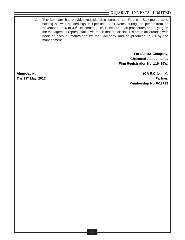iv) The Company has provided requisite disclosures in the Financial Statements as to holding as well as dealings in Specified Bank Notes during the period from 8<sup>th</sup> November, 2016 to 30<sup>th</sup> December, 2016. Based on audit procedures and relying on the management representation we report that the disclosures are in accordance with book of account maintained by the Company and as produced to us by the management.

> **For Lunia& Company, Chartered Accountants, Firm Registration No. 116436W,**

**Ahmedabad, (CA R.C. Lunia), The 29th May, 2017 Partner, Membership No F-12729**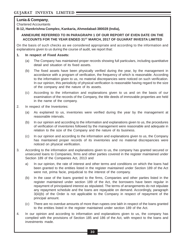## **Lunia & Company**,

Chartered Accountants

**B-12, Harekrishna Complex, Kankaria, Ahmedabad-380028 (India),**

### **ANNEXURE REFERRED TO IN PARAGRAPH 1 OF OUR REPORT OF EVEN DATE ON THE ACCOUNTS FOR THE YEAR ENDED 31ST MARCH, 2017 OF GUJARAT INVESTA LIMITED**

On the basis of such checks as we considered appropriate and according to the information and explanations given to us during the course of audit, we report that:

#### **1. In respect of Fixed Assets:**

- (a) The Company has maintained proper records showing full particulars, including quantitative detail and situation of its fixed assets.
- (b) The fixed assets have been physically verified during the year, by the management in accordance with a program of verification, the frequency of which is reasonable. According to the information given to us, no material discrepancies were noticed on such verification. In our opinion, this periodicity of physical verification is reasonable having regard to the size of the company and the nature of its assets.
- (c) According to the information and explanations given to us and on the basis of our examination of the records of the Company, the title deeds of immovable properties are held in the name of the company.
- 2. In respect of the Inventories:
	- (a) As explained to us, inventories were verified during the year by the management at reasonable intervals.
	- (b) In our opinion and according to the information and explanations given to us, the procedures of verification of inventories followed by the management were reasonable and adequate in relation to the size of the Company and the nature of its business.
	- (c) In our opinion and according to the information and explanations given to us, the Company has maintained proper records of its inventories and no material discrepancies were noticed on physical verification.
- 3. According to the information and explanations given to us, the company has granted secured or unsecured loans to Companies, firms and other parties covered in the register maintained under Section 189 of the Companies Act, 2013 and
	- a) In our opinion, the rate of interest and other terms and conditions on which the loans had been granted to the entities listed in the register maintained under Section 189 of the Act were not, prima facie, prejudicial to the interest of the company.
	- (b) In the case of the loans granted to the firms, Companies and other parties listed in the register maintained under section 189 of the Act, the borrowers have been regular in repayment of principaland interest as stipulated. The terms of arrangements do not stipulate any repayment schedule and the loans are repayable on demand. Accordingly, paragraph 3(iii)(b) of the Order is not applicable to the Company in respect of repayment of the principal amount.
	- (c) There are no overdue amounts of more than rupees one lakh in respect of the loans granted to the entities listed in the register maintained under section 189 of the Act.
- 4. In our opinion and according to information and explanations given to us, the company has complied with the provisions of Section 185 and 186 of the Act, with respect to the loans and investments made.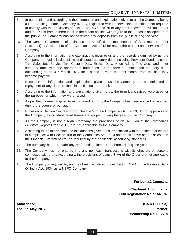- 5. In our opinion and according to the information and explanations given to us, the Company being a Non Banking Finance Company (NBFC) registered with Reserve Bank of India is not required to comply with the provisions of section 73,74,75 and 76 or any other relevant provisions of Act and the Rules framed thereunder to the extent notified with regard to the deposits accepted from the public.The Company has not accepted any deposits from the public during the year.
- 6. The Central Government of India has not specified the maintenance of Cost records under Section (1) of Section 148 of the Companies Act, 2013,for any of the product and services of the Company.
- 7. According to the information and explanations given to us and the records examined by us, the Company is regular in depositing undisputed statutory dues including Provident Fund, Income Tax, Sales-Tax, Service Tax, Custom Duty, Excise Duty, Value Added Tax, Cess and other statutory dues with the appropriate authorities. There were no undisputed statutory dues outstanding as on 31<sup>st</sup> March, 2017 for a period of more than six months from the date they became payable.
- 8. Based on the information and explanations given to us, the Company has not defaulted in repayment of any dues to financial institutions and banks.
- 9. According to the information and explanations given to us, the term loans raised were used for the purpose for which they were raised.
- 10. As per the information given to us, no fraud on or by the Company has been noticed or reported during the course of our audit.
- 11. Provision of Section 197 read with Schedule V of the Companies Act, 2013, do not applicable to the Company as no Managerial Remuneration paid during the year by the Company.
- 12. As the Company is not a Nidhi Company, the provisions of clause 3(xii) of the Companies (Auditors Report Order 2017) are not applicable to the Company.
- 13. According to the information and explanations given to us, transaction with the related parties are in compliance with Section 188 of the Companies Act, 2013 and details have been disclosed in the Financial Statement etc. as required by the applicable accounting standards.
- 14. The company has not made any preferential allotment of shares during the year.
- 15. The Company has not entered into any non cash transactions with its directors or persons connected with them. Accordingly, the provisions of clause 3(xv) of the Order are not applicable to the Company.
- 16. The Company is required to, and has been registered under Section 45-IA of the Reserve Bank Of India Act, 1934 as a NBFC Company.

**For Lunia& Company,**

**Chartered Accountants, Firm Registration No. 116436W,**

**Ahmedabad, (CA R.C. Lunia), The 29th May, 2017 Partner, Membership No F-12729**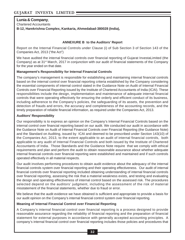## **Lunia & Company**,

Chartered Accountants

**B-12, Harekrishna Complex, Kankaria, Ahmedabad-380028 (India),**

### **ANNEXURE B to the Auditors' Report**

Report on the Internal Financial Controls under Clause (i) of Sub Section 3 of Section 143 of the Companies Act, 2013 ("the Act")

We have audited the internal financial controls over financial reporting of Gujarat InvestaLimited (the Company) as at 31<sup>st</sup> March, 2017 in conjunction with our audit of financial statements of the Company for the year ended on that date.

## **Management's Responsibility for Internal Financial Controls**

The company's management is responsible for establishing and maintaining internal financial controls based on the internal control over financial reporting criteria established by the Company considering the essential components of internal control stated in the Guidance Note on Audit of Internal Financial Controls over Financial Reporting issued by the Institute of Chartered Accountants of India (ICAI). These responsibilities include the design, implementation and maintenance of adequate internal financial controls that were operating effectively for ensuring the orderly and efficient conduct of its business, including adherence to the Company's policies, the safeguarding of its assets, the prevention and detection of frauds and errors, the accuracy and completeness of the accounting records, and the timely preparation of reliable financial information, as required under the Companies Act, 2013.

#### **Auditors' Responsibility**

Our responsibility is to express an opinion on the Company's Internal Financial Controls based on the internal control over financial reporting based on our audit. We conducted our audit in accordance with the Guidance Note on Audit of Internal Financial Controls over Financial Reporting (the Guidance Note) and the Standard on Auditing, issued by ICAI and deemed to be prescribed under Section 143(10) of the Companies Act, 2013, to the extent applicable to an audit of internal financial controls, both applicable to any audit of Internal Financial Controls and both issued by the Institute of Chartered Accountants of India. Those Standards and the Guidance Note require that we comply with ethical requirements and plan and perform the audit to obtain reasonable assurance about whether adequate internal financial controls over financial reporting were established and maintained and if such controls operated effectively in all material respects.

Our audit involves performing procedures to obtain audit evidence about the adequacy of the internal financial controls system over financial reporting and their operating effectiveness. Our audit of internal financial controls over financial reporting included obtaining understanding of internal financial controls over financial reporting, assessing the risk that a material weakness exists, and testing and evaluating the design and operating effectiveness of internal control based on the assessed risk. The procedures selected depend on the auditors' judgment, including the assessment of the risk of material misstatement of the financial statements, whether due to fraud or error.

We believe that the audit evidence we have obtained is sufficient and appropriate to provide a basis for our audit opinion on the Company's internal financial control system over financial reporting.

#### **Meaning of Internal Financial Control over Financial Reporting**

A Company's internal financial control over financial reporting is a process designed to provide reasonable assurance regarding the reliability of financial reporting and the preparation of financial statement for external purposes in accordance with generally accepted accounting principles. A company's internal financial control over financial reporting includes those policies and procedures that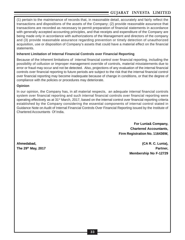(1) pertain to the maintenance of records that, in reasonable detail, accurately and fairly reflect the transactions and dispositions of the assets of the Company; (2) provide reasonable assurance that transactions are recorded as necessary to permit preparation of financial statements in accordance with generally accepted accounting principles, and that receipts and expenditure of the Company are being made only in accordance with authorizations of the Management and directors of the company and (3) provide reasonable assurance regarding prevention or timely detection of unauthorized acquisition, use or disposition of Company's assets that could have a material effect on the financial statements.

### **Inherent Limitation of Internal Financial Controls over Financial Reporting**

Because of the inherent limitations of internal financial control over financial reporting, including the possibility of collusion or improper management override of controls, material misstatements due to error or fraud may occur and not be detected. Also, projections of any evaluation of the internal financial controls over financial reporting to future periods are subject to the risk that the internal financial control over financial reporting may become inadequate because of change in conditions, or that the degree of compliance with the policies or procedures may deteriorate.

## **Opinion**

In our opinion, the Company has, in all material respects, an adequate internal financial controls system over financial reporting and such internal financial controls over financial reporting were operating effectively as at 31st March, 2017, based on the internal control over financial reporting criteria established by the Company considering the essential components of internal control stated in Guidance Note on Audit of Internal Financial Controls Over Financial Reporting issued by the Institute of Chartered Accountants Of India.

> **For Lunia& Company, Chartered Accountants, Firm Registration No. 116436W,**

**Ahmedabad, (CA R. C. Lunia), The 29th May, 2017 Partner, Membership No F-12729**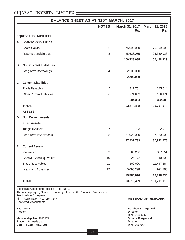|                                                                                                                                                                                                                                        | <b>BALANCE SHEET AS AT 31ST MARCH, 2017</b>                                                       |                |                                                                                                               |                       |
|----------------------------------------------------------------------------------------------------------------------------------------------------------------------------------------------------------------------------------------|---------------------------------------------------------------------------------------------------|----------------|---------------------------------------------------------------------------------------------------------------|-----------------------|
|                                                                                                                                                                                                                                        |                                                                                                   | <b>NOTES</b>   | March 31, 2017<br>Rs.                                                                                         | March 31, 2016<br>Rs. |
|                                                                                                                                                                                                                                        | <b>EQUITY AND LIABILITIES</b>                                                                     |                |                                                                                                               |                       |
| A                                                                                                                                                                                                                                      | <b>Shareholders' Funds</b>                                                                        |                |                                                                                                               |                       |
|                                                                                                                                                                                                                                        | <b>Share Capital</b>                                                                              | $\overline{2}$ | 75,099,000                                                                                                    | 75,099,000            |
|                                                                                                                                                                                                                                        | Reserves and Surplus                                                                              | $\sqrt{3}$     | 25,636,055                                                                                                    | 25,339,928            |
|                                                                                                                                                                                                                                        |                                                                                                   |                | 100,735,055                                                                                                   | 100,438,928           |
| В                                                                                                                                                                                                                                      | <b>Non Current Liabilities</b>                                                                    |                |                                                                                                               |                       |
|                                                                                                                                                                                                                                        | Long Term Borrowings                                                                              | 4              | 2,200,000                                                                                                     | 0                     |
|                                                                                                                                                                                                                                        |                                                                                                   |                | 2,200,000                                                                                                     | $\bf{0}$              |
| $\mathbf C$                                                                                                                                                                                                                            | <b>Current Liabilities</b>                                                                        |                |                                                                                                               |                       |
|                                                                                                                                                                                                                                        | <b>Trade Payables</b>                                                                             | 5              | 312,751                                                                                                       | 245,614               |
|                                                                                                                                                                                                                                        | <b>Other Current Liabilities</b>                                                                  | 6              | 271,603                                                                                                       | 106,471               |
|                                                                                                                                                                                                                                        |                                                                                                   |                | 584,354                                                                                                       | 352,085               |
|                                                                                                                                                                                                                                        | <b>TOTAL</b>                                                                                      |                | 103,519,408                                                                                                   | 100,791,013           |
|                                                                                                                                                                                                                                        | <b>ASSETS</b>                                                                                     |                |                                                                                                               |                       |
| D                                                                                                                                                                                                                                      | <b>Non Current Assets</b>                                                                         |                |                                                                                                               |                       |
|                                                                                                                                                                                                                                        | <b>Fixed Assets</b>                                                                               |                |                                                                                                               |                       |
|                                                                                                                                                                                                                                        | <b>Tangible Assets</b>                                                                            | $\overline{7}$ | 12,733                                                                                                        | 22,978                |
|                                                                                                                                                                                                                                        | Long Term Investments                                                                             | 8              | 87,920,000                                                                                                    | 87,920,000            |
|                                                                                                                                                                                                                                        |                                                                                                   |                | 87,932,733                                                                                                    | 87,942,978            |
| Е                                                                                                                                                                                                                                      | <b>Current Assets</b>                                                                             |                |                                                                                                               |                       |
|                                                                                                                                                                                                                                        | Inventories                                                                                       | 9              | 366,206                                                                                                       | 367,951               |
|                                                                                                                                                                                                                                        | Cash & Cash Equivalent                                                                            | 10             | 25,172                                                                                                        | 40,500                |
|                                                                                                                                                                                                                                        | <b>Trade Receivables</b>                                                                          | 11             | 100,000                                                                                                       | 11,447,884            |
|                                                                                                                                                                                                                                        | Loans and Advances                                                                                | 12             | 15,095,298                                                                                                    | 991,700               |
|                                                                                                                                                                                                                                        |                                                                                                   |                | 15,586,676                                                                                                    | 12,848,035            |
|                                                                                                                                                                                                                                        | <b>TOTAL</b>                                                                                      |                | 103,519,409                                                                                                   | 100,791,013           |
| Significant Accounting Policies - Note No. 1<br>The accompanying Notes are an integral part of the Financial Statements<br>For Lunia & Company,<br>Firm Registration No. 116436W,<br>ON BEHALF OF THE BOARD,<br>Chartered Accountants, |                                                                                                   |                |                                                                                                               |                       |
|                                                                                                                                                                                                                                        | R.C. Lunia,<br>Partner,<br>Membership No. F-12729.<br>Place : Ahmedabad.<br>Date : 29th May, 2017 |                | <b>Purshottam Agarwal</b><br><b>Director</b><br>DIN: 00396869<br>Somna P Agarwal<br>Director<br>DIN: 01670948 |                       |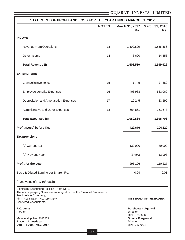| STATEMENT OF PROFIT AND LOSS FOR THE YEAR ENDED MARCH 31, 2017                                                                                                                                              |                      |                                                                                |                         |  |  |  |  |
|-------------------------------------------------------------------------------------------------------------------------------------------------------------------------------------------------------------|----------------------|--------------------------------------------------------------------------------|-------------------------|--|--|--|--|
|                                                                                                                                                                                                             | <b>NOTES</b>         | March 31, 2017<br>Rs.                                                          | March 31, 2016<br>Rs.   |  |  |  |  |
| <b>INCOME</b>                                                                                                                                                                                               |                      |                                                                                |                         |  |  |  |  |
| <b>Revenue From Operations</b>                                                                                                                                                                              | 13                   | 1,499,890                                                                      | 1,585,366               |  |  |  |  |
| Other Income                                                                                                                                                                                                | 14                   | 3,620                                                                          | 14,556                  |  |  |  |  |
| <b>Total Revenue (I)</b>                                                                                                                                                                                    |                      | 1,503,510                                                                      | 1,599,922               |  |  |  |  |
| <b>EXPENDITURE</b>                                                                                                                                                                                          |                      |                                                                                |                         |  |  |  |  |
| Change in Inventories                                                                                                                                                                                       | 15                   | 1,745                                                                          | 27,380                  |  |  |  |  |
| <b>Employee benefits Expenses</b>                                                                                                                                                                           | 16                   | 403,983                                                                        | 533,060                 |  |  |  |  |
| Depreciation and Amortisation Expenses                                                                                                                                                                      | 17                   | 10,245                                                                         | 83,590                  |  |  |  |  |
| Administrative and Other Expenses                                                                                                                                                                           | 18                   | 664,861                                                                        | 751,673                 |  |  |  |  |
| <b>Total Expenses (II)</b>                                                                                                                                                                                  |                      | 1,080,834                                                                      | 1,395,703               |  |  |  |  |
| Profit/(Loss) before Tax                                                                                                                                                                                    |                      | 422,676                                                                        | 204,220                 |  |  |  |  |
| <b>Tax provisions</b>                                                                                                                                                                                       |                      |                                                                                |                         |  |  |  |  |
| (a) Current Tax                                                                                                                                                                                             |                      | 130,000                                                                        | 80,000                  |  |  |  |  |
| (b) Previous Year                                                                                                                                                                                           |                      | (3, 450)                                                                       | 13,993                  |  |  |  |  |
| Profit for the year                                                                                                                                                                                         |                      | 296,126                                                                        | 110,227                 |  |  |  |  |
| Basic & Diluted Earning per Share - Rs.                                                                                                                                                                     |                      | 0.04                                                                           | 0.01                    |  |  |  |  |
| (Face Value of Rs. 10/- each)                                                                                                                                                                               |                      |                                                                                |                         |  |  |  |  |
| Significant Accounting Policies - Note No. 1<br>The accompanying Notes are an integral part of the Financial Statements<br>For Lunia & Company,<br>Firm Registration No. 116436W,<br>Chartered Accountants, |                      |                                                                                | ON BEHALF OF THE BOARD, |  |  |  |  |
| R.C. Lunia,<br>Partner,<br>Membership No. F-12729.<br>Place: Ahmedabad.<br>: 29th May, 2017<br>Date                                                                                                         | Director<br>Director | <b>Purshottam Agarwal</b><br>DIN: 00396869<br>Somna P Agarwal<br>DIN: 01670948 |                         |  |  |  |  |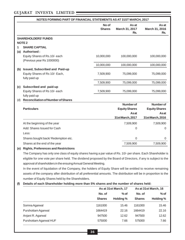|     | NOTES FORMING PART OF FINANCIAL STATEMENTS AS AT 31ST MARCH, 2017                                                   |                        |                                |                                |
|-----|---------------------------------------------------------------------------------------------------------------------|------------------------|--------------------------------|--------------------------------|
|     |                                                                                                                     | No of<br><b>Shares</b> | As at<br>March 31, 2017<br>Rs. | As at<br>March 31, 2016<br>Rs. |
|     | <b>SHAREHOLDERS' FUNDS</b>                                                                                          |                        |                                |                                |
|     | <b>NOTE 2</b>                                                                                                       |                        |                                |                                |
| 1   | <b>SHARE CAPTIAL</b>                                                                                                |                        |                                |                                |
| (a) | <b>Authorised:</b>                                                                                                  |                        |                                |                                |
|     | Equity Shares of Rs.10/- each<br>(Previous year Rs 1000000)                                                         | 10,000,000             | 100,000,000                    | 100,000,000                    |
|     |                                                                                                                     | 10,000,000             | 100,000,000                    | 100,000,000                    |
| (b) | <b>Issued, Subscribed and Paid-up</b>                                                                               |                        |                                |                                |
|     | Equity Shares of Rs 10/- Each,<br>fully paid up                                                                     | 7,509,900              | 75,099,000                     | 75,099,000                     |
|     |                                                                                                                     | 7,509,900              | 75,099,000                     | 75,099,000                     |
| (C) | Subscribed and paid-up                                                                                              |                        |                                |                                |
|     | Equity Shares of Rs 10/- each                                                                                       | 7,509,900              | 75,099,000                     | 75,099,000                     |
|     | fully paid up                                                                                                       |                        |                                |                                |
| (d) | <b>Reconciliation of Number of Shares</b>                                                                           |                        |                                |                                |
|     | <b>Particulars</b>                                                                                                  |                        | <b>Number of</b>               | <b>Number of</b>               |
|     |                                                                                                                     |                        | <b>Equity Shares</b><br>Asat   | <b>Equity Shares</b><br>Asat   |
|     |                                                                                                                     |                        | 31st March, 2017               | 31st March, 2016               |
|     | At the beginning of the year                                                                                        |                        | 7,509,900                      | 7,509,900                      |
|     | Add: Shares Issued for Cash                                                                                         |                        | 0                              | 0                              |
|     | Less:                                                                                                               |                        |                                |                                |
|     | Shares bought back/Redemption etc.                                                                                  |                        | 0                              | 0                              |
|     | Shares at the end of the year                                                                                       |                        | 7,509,900                      | 7,509,900                      |
| (e) | <b>Rights, Preferences and Restrictions</b>                                                                         |                        |                                |                                |
|     | The Company has only one class of equity shares having a par value of Rs. 10/- per share. Each Shareholder is       |                        |                                |                                |
|     | eligible for one vote per share held. The dividend proposed by the Board of Directors, if any is subject to the     |                        |                                |                                |
|     | approval of shareholders in the ensuing Annual General Meeting.                                                     |                        |                                |                                |
|     | In the event of liquidation of the Company, the holders of Equity Share will be entitled to receive remaining       |                        |                                |                                |
|     | assets of the company after distribution of all preferential amounts. The distribution will be in proportion to the |                        |                                |                                |

number of Equity Shares held by the Shareholders.

#### **(f) Details of each Shareholder holding more than 5% shares and the number of shares held:**

|                        |               | As at 31st March, 17 | As at 31st March, 16 |                  |  |
|------------------------|---------------|----------------------|----------------------|------------------|--|
|                        | No. of        | $%$ of               | No. of               | $%$ of           |  |
|                        | <b>Shares</b> | <b>Holding %</b>     | <b>Shares</b>        | <b>Holding %</b> |  |
| Somna Agarwal          | 1161000       | 15.46                | 1161000              | 15.46            |  |
| Purshottam Agarwal     | 1664419       | 22.16                | 1664419              | 22.16            |  |
| Anjani R. Agarwal      | 947500        | 12.62                | 947500               | 12.62            |  |
| Purshottam Agarwal HUF | 575000        | 7.66                 | 575000               | 7.66             |  |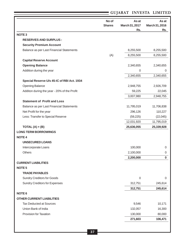|  |  | GUJARAT INVESTA LIMITED |  |
|--|--|-------------------------|--|
|--|--|-------------------------|--|

| <b>NOTE3</b><br><b>RESERVES AND SURPLUS:</b><br><b>Security Premium Account</b><br>Balance as per Last Financial Statements<br>8,255,500<br>8,255,500<br>(A)<br>8,255,500<br>8,255,500<br><b>Capital Reserve Account</b><br>2,340,655<br><b>Opening Balance</b><br>2,340,655<br>Addition during the year<br>$\mathbf 0$<br>0<br>2,340,655<br>2,340,655<br>Special Reserve U/s 45-IC of RBI Act. 1934<br><b>Opening Balance</b><br>2,948,755<br>2,926,709<br>Additon during the year - 20% of the Profit<br>59,225<br>22,045<br>3,007,980<br>2,948,755<br><b>Statement of Profit and Loss</b><br>Balance as per Last Financial Statements<br>11,795,019<br>11,706,838<br>Net Profit for the year<br>296,126<br>110,227<br>Less: Transfer to Special Reserve<br>(59, 225)<br>(22,045)<br>12,031,920<br>11,795,019<br>TOTAL $(A) + (B)$<br>25,636,055<br>25,339,928<br><b>LONG TERM BORROWINGS</b><br><b>NOTE 4</b><br><b>UNSECURED LOANS</b><br>100,000<br>Intercorporate Loans<br>0<br>2,100,000<br>Others<br>0<br>2,200,000<br>0<br><b>CURRENT LIABILITIES</b><br><b>NOTE 5</b><br><b>TRADE PAYABLES</b><br><b>Sundry Creditors for Goods</b><br>$\mathbf 0$<br>$\boldsymbol{0}$<br><b>Sundry Creditors for Expenses</b><br>312,751<br>245,614<br>312,751<br>245,614<br><b>NOTE 6</b><br><b>OTHER CURRENT LIABILITIES</b><br><b>Tax Deducted at Sources</b><br>9,546<br>10,171<br>Union Bank of India<br>132,057<br>16,300<br>Provision for Taxation<br>130,000<br>80,000<br>271,603<br>106,471 | No of<br><b>Shares</b> | As at<br>March 31, 2017<br>Rs. | As at<br>March 31, 2016<br>Rs. |
|-------------------------------------------------------------------------------------------------------------------------------------------------------------------------------------------------------------------------------------------------------------------------------------------------------------------------------------------------------------------------------------------------------------------------------------------------------------------------------------------------------------------------------------------------------------------------------------------------------------------------------------------------------------------------------------------------------------------------------------------------------------------------------------------------------------------------------------------------------------------------------------------------------------------------------------------------------------------------------------------------------------------------------------------------------------------------------------------------------------------------------------------------------------------------------------------------------------------------------------------------------------------------------------------------------------------------------------------------------------------------------------------------------------------------------------------------------------------------------------------------|------------------------|--------------------------------|--------------------------------|
|                                                                                                                                                                                                                                                                                                                                                                                                                                                                                                                                                                                                                                                                                                                                                                                                                                                                                                                                                                                                                                                                                                                                                                                                                                                                                                                                                                                                                                                                                                 |                        |                                |                                |
|                                                                                                                                                                                                                                                                                                                                                                                                                                                                                                                                                                                                                                                                                                                                                                                                                                                                                                                                                                                                                                                                                                                                                                                                                                                                                                                                                                                                                                                                                                 |                        |                                |                                |
|                                                                                                                                                                                                                                                                                                                                                                                                                                                                                                                                                                                                                                                                                                                                                                                                                                                                                                                                                                                                                                                                                                                                                                                                                                                                                                                                                                                                                                                                                                 |                        |                                |                                |
|                                                                                                                                                                                                                                                                                                                                                                                                                                                                                                                                                                                                                                                                                                                                                                                                                                                                                                                                                                                                                                                                                                                                                                                                                                                                                                                                                                                                                                                                                                 |                        |                                |                                |
|                                                                                                                                                                                                                                                                                                                                                                                                                                                                                                                                                                                                                                                                                                                                                                                                                                                                                                                                                                                                                                                                                                                                                                                                                                                                                                                                                                                                                                                                                                 |                        |                                |                                |
|                                                                                                                                                                                                                                                                                                                                                                                                                                                                                                                                                                                                                                                                                                                                                                                                                                                                                                                                                                                                                                                                                                                                                                                                                                                                                                                                                                                                                                                                                                 |                        |                                |                                |
|                                                                                                                                                                                                                                                                                                                                                                                                                                                                                                                                                                                                                                                                                                                                                                                                                                                                                                                                                                                                                                                                                                                                                                                                                                                                                                                                                                                                                                                                                                 |                        |                                |                                |
|                                                                                                                                                                                                                                                                                                                                                                                                                                                                                                                                                                                                                                                                                                                                                                                                                                                                                                                                                                                                                                                                                                                                                                                                                                                                                                                                                                                                                                                                                                 |                        |                                |                                |
|                                                                                                                                                                                                                                                                                                                                                                                                                                                                                                                                                                                                                                                                                                                                                                                                                                                                                                                                                                                                                                                                                                                                                                                                                                                                                                                                                                                                                                                                                                 |                        |                                |                                |
|                                                                                                                                                                                                                                                                                                                                                                                                                                                                                                                                                                                                                                                                                                                                                                                                                                                                                                                                                                                                                                                                                                                                                                                                                                                                                                                                                                                                                                                                                                 |                        |                                |                                |
|                                                                                                                                                                                                                                                                                                                                                                                                                                                                                                                                                                                                                                                                                                                                                                                                                                                                                                                                                                                                                                                                                                                                                                                                                                                                                                                                                                                                                                                                                                 |                        |                                |                                |
|                                                                                                                                                                                                                                                                                                                                                                                                                                                                                                                                                                                                                                                                                                                                                                                                                                                                                                                                                                                                                                                                                                                                                                                                                                                                                                                                                                                                                                                                                                 |                        |                                |                                |
|                                                                                                                                                                                                                                                                                                                                                                                                                                                                                                                                                                                                                                                                                                                                                                                                                                                                                                                                                                                                                                                                                                                                                                                                                                                                                                                                                                                                                                                                                                 |                        |                                |                                |
|                                                                                                                                                                                                                                                                                                                                                                                                                                                                                                                                                                                                                                                                                                                                                                                                                                                                                                                                                                                                                                                                                                                                                                                                                                                                                                                                                                                                                                                                                                 |                        |                                |                                |
|                                                                                                                                                                                                                                                                                                                                                                                                                                                                                                                                                                                                                                                                                                                                                                                                                                                                                                                                                                                                                                                                                                                                                                                                                                                                                                                                                                                                                                                                                                 |                        |                                |                                |
|                                                                                                                                                                                                                                                                                                                                                                                                                                                                                                                                                                                                                                                                                                                                                                                                                                                                                                                                                                                                                                                                                                                                                                                                                                                                                                                                                                                                                                                                                                 |                        |                                |                                |
|                                                                                                                                                                                                                                                                                                                                                                                                                                                                                                                                                                                                                                                                                                                                                                                                                                                                                                                                                                                                                                                                                                                                                                                                                                                                                                                                                                                                                                                                                                 |                        |                                |                                |
|                                                                                                                                                                                                                                                                                                                                                                                                                                                                                                                                                                                                                                                                                                                                                                                                                                                                                                                                                                                                                                                                                                                                                                                                                                                                                                                                                                                                                                                                                                 |                        |                                |                                |
|                                                                                                                                                                                                                                                                                                                                                                                                                                                                                                                                                                                                                                                                                                                                                                                                                                                                                                                                                                                                                                                                                                                                                                                                                                                                                                                                                                                                                                                                                                 |                        |                                |                                |
|                                                                                                                                                                                                                                                                                                                                                                                                                                                                                                                                                                                                                                                                                                                                                                                                                                                                                                                                                                                                                                                                                                                                                                                                                                                                                                                                                                                                                                                                                                 |                        |                                |                                |
|                                                                                                                                                                                                                                                                                                                                                                                                                                                                                                                                                                                                                                                                                                                                                                                                                                                                                                                                                                                                                                                                                                                                                                                                                                                                                                                                                                                                                                                                                                 |                        |                                |                                |
|                                                                                                                                                                                                                                                                                                                                                                                                                                                                                                                                                                                                                                                                                                                                                                                                                                                                                                                                                                                                                                                                                                                                                                                                                                                                                                                                                                                                                                                                                                 |                        |                                |                                |
|                                                                                                                                                                                                                                                                                                                                                                                                                                                                                                                                                                                                                                                                                                                                                                                                                                                                                                                                                                                                                                                                                                                                                                                                                                                                                                                                                                                                                                                                                                 |                        |                                |                                |
|                                                                                                                                                                                                                                                                                                                                                                                                                                                                                                                                                                                                                                                                                                                                                                                                                                                                                                                                                                                                                                                                                                                                                                                                                                                                                                                                                                                                                                                                                                 |                        |                                |                                |
|                                                                                                                                                                                                                                                                                                                                                                                                                                                                                                                                                                                                                                                                                                                                                                                                                                                                                                                                                                                                                                                                                                                                                                                                                                                                                                                                                                                                                                                                                                 |                        |                                |                                |
|                                                                                                                                                                                                                                                                                                                                                                                                                                                                                                                                                                                                                                                                                                                                                                                                                                                                                                                                                                                                                                                                                                                                                                                                                                                                                                                                                                                                                                                                                                 |                        |                                |                                |
|                                                                                                                                                                                                                                                                                                                                                                                                                                                                                                                                                                                                                                                                                                                                                                                                                                                                                                                                                                                                                                                                                                                                                                                                                                                                                                                                                                                                                                                                                                 |                        |                                |                                |
|                                                                                                                                                                                                                                                                                                                                                                                                                                                                                                                                                                                                                                                                                                                                                                                                                                                                                                                                                                                                                                                                                                                                                                                                                                                                                                                                                                                                                                                                                                 |                        |                                |                                |
|                                                                                                                                                                                                                                                                                                                                                                                                                                                                                                                                                                                                                                                                                                                                                                                                                                                                                                                                                                                                                                                                                                                                                                                                                                                                                                                                                                                                                                                                                                 |                        |                                |                                |
|                                                                                                                                                                                                                                                                                                                                                                                                                                                                                                                                                                                                                                                                                                                                                                                                                                                                                                                                                                                                                                                                                                                                                                                                                                                                                                                                                                                                                                                                                                 |                        |                                |                                |
|                                                                                                                                                                                                                                                                                                                                                                                                                                                                                                                                                                                                                                                                                                                                                                                                                                                                                                                                                                                                                                                                                                                                                                                                                                                                                                                                                                                                                                                                                                 |                        |                                |                                |
|                                                                                                                                                                                                                                                                                                                                                                                                                                                                                                                                                                                                                                                                                                                                                                                                                                                                                                                                                                                                                                                                                                                                                                                                                                                                                                                                                                                                                                                                                                 |                        |                                |                                |
|                                                                                                                                                                                                                                                                                                                                                                                                                                                                                                                                                                                                                                                                                                                                                                                                                                                                                                                                                                                                                                                                                                                                                                                                                                                                                                                                                                                                                                                                                                 |                        |                                |                                |
|                                                                                                                                                                                                                                                                                                                                                                                                                                                                                                                                                                                                                                                                                                                                                                                                                                                                                                                                                                                                                                                                                                                                                                                                                                                                                                                                                                                                                                                                                                 |                        |                                |                                |
|                                                                                                                                                                                                                                                                                                                                                                                                                                                                                                                                                                                                                                                                                                                                                                                                                                                                                                                                                                                                                                                                                                                                                                                                                                                                                                                                                                                                                                                                                                 |                        |                                |                                |
|                                                                                                                                                                                                                                                                                                                                                                                                                                                                                                                                                                                                                                                                                                                                                                                                                                                                                                                                                                                                                                                                                                                                                                                                                                                                                                                                                                                                                                                                                                 |                        |                                |                                |
|                                                                                                                                                                                                                                                                                                                                                                                                                                                                                                                                                                                                                                                                                                                                                                                                                                                                                                                                                                                                                                                                                                                                                                                                                                                                                                                                                                                                                                                                                                 |                        |                                |                                |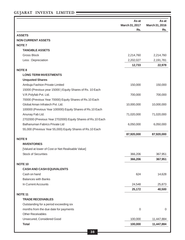|                                                             | As at<br>March 31, 2017<br>Rs. | As at<br>March 31, 2016<br>Rs. |
|-------------------------------------------------------------|--------------------------------|--------------------------------|
| <b>ASSETS</b>                                               |                                |                                |
| <b>NON CURRENT ASSETS</b>                                   |                                |                                |
| <b>NOTE7</b>                                                |                                |                                |
| <b>TANGIBLE ASSETS</b>                                      |                                |                                |
| <b>Gross Block</b>                                          | 2,214,760                      | 2,214,760                      |
| Less: Depreciation                                          | 2,202,027                      | 2,191,781                      |
|                                                             | 12,733                         | 22,978                         |
| <b>NOTE 8</b>                                               |                                |                                |
| <b>LONG TERM INVESTMENTS</b>                                |                                |                                |
| <b>Unquoted Shares</b>                                      |                                |                                |
| Ambuja Fashion Private Limited                              | 150,000                        | 150,000                        |
| 15000 (Previous year 15000) Equity Shares of Rs. 10 Each    |                                |                                |
| V.R.Polyfab Pvt. Ltd.                                       | 700,000                        | 700,000                        |
| 70000 (Previous Year 70000) Equity Shares of Rs.10 Each     |                                |                                |
| Global Aman Infratech Pvt. Ltd.                             | 10,000,000                     | 10,000,000                     |
| 100000 (Previous Year 100000) Equity Shares of Rs.10 Each   |                                |                                |
| Anunay Fab Ltd.                                             | 71,020,000                     | 71,020,000                     |
| 2702000 (Previous Year 2702000) Equity Shares of Rs.10 Each |                                |                                |
| Balhanuman Fabrics Private Ltd                              | 6,050,000                      | 6,050,000                      |
| 55,000 (Previous Year 55,000) Equity Shares of Rs.10 Each   |                                |                                |
|                                                             | 87,920,000                     | 87,920,000                     |
| <b>NOTE 9</b>                                               |                                |                                |
| <b>INVENTORIES</b>                                          |                                |                                |
| [Valued at lower of Cost or Net Realisable Value]           |                                |                                |
| <b>Stock of Securities</b>                                  | 366,206                        | 367,951                        |
|                                                             | 366,206                        | 367,951                        |
| <b>NOTE 10</b>                                              |                                |                                |
| <b>CASH AND CASH EQUIVALENTS</b>                            |                                |                                |
| Cash on hand                                                | 624                            | 14,628                         |
| <b>Balances with Banks</b>                                  |                                |                                |
| In Current Accounts                                         | 24,548                         | 25,873                         |
|                                                             | 25,172                         | 40,500                         |
| <b>NOTE 11</b>                                              |                                |                                |
| <b>TRADE RECEIVABLES</b>                                    |                                |                                |
| Outstanding for a period exceeding six                      |                                |                                |
| months from the due date for payments                       | $\mathbf 0$                    | $\mathbf 0$                    |
| <b>Other Receivables</b>                                    |                                |                                |
| Unsecured, Considered Good                                  | 100,000                        | 11,447,884                     |
| <b>Total</b>                                                | 100,000                        | 11,447,884                     |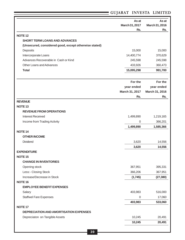|                                                       | As at<br>March 31, 2017<br>Rs. | As at<br>March 31, 2016<br>Rs. |
|-------------------------------------------------------|--------------------------------|--------------------------------|
| <b>NOTE 12</b>                                        |                                |                                |
| <b>SHORT TERM LOANS AND ADVANCES</b>                  |                                |                                |
| (Unsecured, considered good, except otherwise stated) |                                |                                |
| Deposits                                              | 15,000                         | 15,000                         |
| Intercorporate Loans                                  | 14,400,774                     | 370,629                        |
| Advances Recoverable in Cash or Kind                  | 245,598                        | 245,598                        |
| Other Loans and Advances                              | 433,926                        | 360,473                        |
| <b>Total</b>                                          | 15,095,298                     | 991,700                        |
|                                                       | For the                        | For the                        |
|                                                       | year ended                     | year ended                     |
|                                                       | March 31, 2017                 | March 31, 2016                 |
|                                                       | Rs.                            | Rs.                            |
| <b>REVENUE</b>                                        |                                |                                |
| <b>NOTE 13</b>                                        |                                |                                |
| <b>REVENUE FROM OPERATIONS</b>                        |                                |                                |
| <b>Interest Received</b>                              | 1,499,890                      | 1,219,165                      |
| Income from Trading Activity                          | $\overline{0}$                 | 366,201                        |
|                                                       | 1,499,890                      | 1,585,366                      |
| <b>NOTE 14</b>                                        |                                |                                |
| <b>OTHER INCOME</b>                                   |                                |                                |
| Dividend                                              | 3,620                          | 14,556                         |
|                                                       | 3,620                          | 14,556                         |
| <b>EXPENDITURE</b>                                    |                                |                                |
| <b>NOTE 15</b>                                        |                                |                                |
| <b>CHANGE IN INVENTORIES</b>                          |                                |                                |
| Opening stock                                         | 367,951                        | 395,331                        |
| Less:- Closing Stock                                  | 366,206                        | 367,951                        |
| Increase/Decrease in Stock                            | (1,745)                        | (27, 380)                      |
| <b>NOTE 16</b>                                        |                                |                                |
| <b>EMPLOYEE BENEFIT EXPENSES</b>                      |                                |                                |
| Salary                                                | 403,983                        | 516,000                        |
| <b>Staffwel Fare Expenses</b>                         | $\boldsymbol{0}$               | 17,060                         |
|                                                       | 403,983                        | 533,060                        |
| <b>NOTE 17</b>                                        |                                |                                |
| DEPRECIATION AND AMORTISATION EXPENSES                |                                |                                |
| Depreciaton on Tangible Assets                        | 10,245                         | 20,491                         |
|                                                       | 10,245                         | 20,491                         |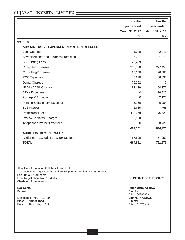|                                                                                                                                                                                                             | For the        | For the                 |
|-------------------------------------------------------------------------------------------------------------------------------------------------------------------------------------------------------------|----------------|-------------------------|
|                                                                                                                                                                                                             | year ended     | year ended              |
|                                                                                                                                                                                                             | March 31, 2017 | March 31, 2016          |
|                                                                                                                                                                                                             | Rs.            | Rs.                     |
| <b>NOTE 18</b>                                                                                                                                                                                              |                |                         |
| ADMINISTRATIVE EXPENSES AND OTHER EXPENSES                                                                                                                                                                  |                |                         |
| <b>Bank Charges</b>                                                                                                                                                                                         | 1,380          | 2,041                   |
| Advertisements and Business Promotion                                                                                                                                                                       | 16,007         | 57373                   |
| <b>BSE Listing Fees</b>                                                                                                                                                                                     | 27,409         | 0                       |
| <b>Computer Expenses</b>                                                                                                                                                                                    | 250,370        | 227,453                 |
| <b>Consulting Expenses</b>                                                                                                                                                                                  | 20,000         | 26,000                  |
| <b>ROC Expenses</b>                                                                                                                                                                                         | 5,670          | 66,630                  |
| <b>Demat Charges</b>                                                                                                                                                                                        | 70,292         | 0                       |
| NSDL / CDSL Charges                                                                                                                                                                                         | 83,189         | 54,376                  |
| <b>Office Expenses</b>                                                                                                                                                                                      | 0              | 26,325                  |
| Postage & Angadia                                                                                                                                                                                           | 0              | 2,126                   |
| <b>Printing &amp; Stationery Expenses</b>                                                                                                                                                                   | 5,750          | 46,284                  |
| <b>TDS Interest</b>                                                                                                                                                                                         | 3,665          | 465                     |
| <b>Professional Fees</b>                                                                                                                                                                                    | 113,079        | 176,625                 |
| <b>Review Certificate Charges</b>                                                                                                                                                                           | 10,550         | $\Omega$                |
| Telephone / Internet Expenses                                                                                                                                                                               | 0              | 8,725                   |
|                                                                                                                                                                                                             | 607,361        | 694,423                 |
| <b>AUDITORS 'REMUNERATION</b>                                                                                                                                                                               |                |                         |
| Audit Fee, Tax Audit Fee & Tax Matters                                                                                                                                                                      | 57,500         | 57,250                  |
| <b>TOTAL</b>                                                                                                                                                                                                | 664,861        | 751,673                 |
|                                                                                                                                                                                                             |                |                         |
| Significant Accounting Policies - Note No. 1<br>The accompanying Notes are an integral part of the Financial Statements<br>For Lunia & Company,<br>Firm Registration No. 116436W,<br>Chartered Accountants, |                | ON BEHALF OF THE BOARD, |

Partner, **Director** 

Membership No. F-12729. **Somna P Agarwal Place : Ahmedabad.** Director **Director** Director **Director** Director **Director** Director **Director Director DIN** : 01670948 Date : 29th May, 2017

**R.C. Lunia, Purshottam Agarwal** DIN : 00396869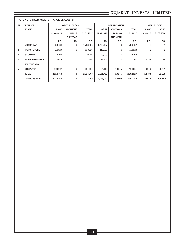|                | <b>NOTE NO. 6 FIXED ASSETS: TANGIBLE ASSETS</b> |            |                    |              |            |                     |              |                            |            |
|----------------|-------------------------------------------------|------------|--------------------|--------------|------------|---------------------|--------------|----------------------------|------------|
| SR.            | <b>DETAIL OF</b>                                |            | <b>GROSS BLOCK</b> |              |            | <b>DEPRECIATION</b> |              | <b>NET</b><br><b>BLOCK</b> |            |
|                | <b>ASSETS</b>                                   | AS AT      | <b>ADDITIONS</b>   | <b>TOTAL</b> | AS AT      | <b>ADDITIONS</b>    | <b>TOTAL</b> | AS AT                      | AS AT      |
|                |                                                 | 01.04.2016 | <b>DURING</b>      | 31.03.2017   | 01.04.2016 | <b>DURING</b>       | 31.03.2017   | 31.03.2017                 | 31.03.2016 |
|                |                                                 |            | <b>THE YEAR</b>    |              |            | THE YEAR            |              |                            |            |
|                |                                                 | RS.        | RS.                | RS.          | RS.        | RS.                 | RS.          | RS.                        | RS.        |
|                | <b>MOTOR CAR</b>                                | 1,788,438  | $\Omega$           | 1,788,438    | 1,788,437  | $\mathbf 0$         | 1,788,437    |                            |            |
| $\overline{2}$ | <b>MOTOR CYCLE</b>                              | 118,529    | $\mathbf 0$        | 118,529      | 118,528    | $\mathbf 0$         | 118,528      | 1                          |            |
| 3              | <b>SCOOTER</b>                                  | 29,200     | $\Omega$           | 29,200       | 29,199     | $\Omega$            | 29,199       |                            |            |
| $\overline{4}$ | <b>MOBILE PHONES &amp;</b>                      | 73,686     | $\mathbf 0$        | 73,686       | 71,202     | $\mathbf 0$         | 71,202       | 2,484                      | 2,484      |
|                | <b>TELEPHONES</b>                               |            |                    |              |            |                     |              |                            |            |
| 5              | <b>COMPUTER</b>                                 | 204,907    | $\Omega$           | 204,907      | 184,416    | 10,245              | 194,661      | 10,246                     | 20,491     |
|                | <b>TOTAL</b>                                    | 2,214,760  | $\bf{0}$           | 2,214,760    | 2,191,782  | 10,245              | 2,202,027    | 12,733                     | 22,978     |
|                | <b>PREVIOUS YEAR</b>                            | 2,214,760  | $\bf{0}$           | 2,214,760    | 2,108,192  | 83,590              | 2,191,782    | 22,978                     | 106,568    |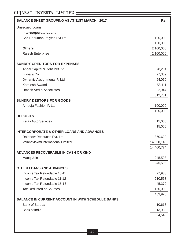| <b>BALANCE SHEET GROUPING AS AT 31ST MARCH, 2017</b>       | Rs.               |
|------------------------------------------------------------|-------------------|
| <b>Unsecued Loans</b>                                      |                   |
| <b>Intercorporate Loans</b>                                |                   |
| Shri Hanuman Polyfab Pvt Ltd                               | 100,000           |
|                                                            | 100,000           |
| <b>Others</b>                                              | 2,100,000         |
| Rajesh Enterprise                                          | 2,100,000         |
| <b>SUNDRY CREDITORS FOR EXPENSES</b>                       |                   |
| Angel Capital & Debt Mkt Ltd                               | 70,284            |
| Lunia & Co.                                                | 97,359            |
| Dynamic Assignments P. Ltd                                 | 64,050            |
| Kamlesh Swami                                              | 58,111            |
| <b>Umesh Ved &amp; Associates</b>                          | 22,947            |
|                                                            | 312,751           |
| <b>SUNDRY DEBTORS FOR GOODS</b>                            |                   |
| Ambuja Fashion P. Ltd                                      | 100,000           |
|                                                            | 100,000           |
| <b>DEPOSITS</b>                                            |                   |
| <b>Ketav Auto Services</b>                                 | 15,000            |
|                                                            | 15,000            |
| <b>INTERCORPORATE &amp; OTHER LOANS AND ADVANCES</b>       |                   |
| Rainbow Resouces Pvt. Ltd.                                 | 370,629           |
| Vaibhavlaxmi International Limited                         | 14,030,145        |
|                                                            | 14,400,774        |
| <b>ADVANCES RECOVERABLE IN CASH OR KIND</b>                |                   |
| Manoj Jain                                                 | 245,598           |
|                                                            | 245,598           |
| <b>OTHER LOANS AND ADVANCES</b>                            |                   |
| Income Tax Refundable 10-11                                | 27,988            |
| Income Tax Refundable 11-12<br>Income Tax Refundable 15-16 | 210,568<br>45,370 |
| <b>Tax Deducted at Sources</b>                             | 150,000           |
|                                                            | 433,926           |
| <b>BALANCE IN CURRENT ACCOUNT IN WITH SCHEDULE BANKS</b>   |                   |
| <b>Bank of Baroda</b>                                      | 10,618            |
| Bank of India                                              | 13,930            |
|                                                            | 24,548            |
|                                                            |                   |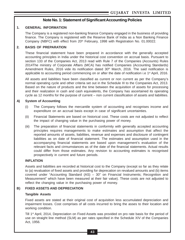## **Note No. 1: Statement of Significant Accounting Policies**

#### **1. GENERAL INFORMATION**

The Company is a registered non-banking finance Company engaged in the business of providing finance. The Company is registered with the Reserve Bank of India as a Non Banking Finance Company (NBFC) with effect from 20<sup>th</sup> February, 1998 with Registration No. 01.00022.

#### **2. BASIS OF PREPARATION**

These financial statement have been prepared in accordance with the generally accepted accounting principles in India under the historical cost convention on accrual basis. Pursuant to section 133 of the Companies Act, 2013 read with Rule 7 of the Companies (Accounts) Rules 2014The ministry of Corporate Affairs (MCA) has notified Companies (Accounting Standards) Amendment Rules, 2016 vide its notification dated 30<sup>th</sup> March, 2016. The said notification is applicable to accounting period commencing on or after the date of notification i.e 1<sup>st</sup> April, 2016.

All assets and liabilities have been classified as current or non current as per the Company's normal operating cycle and other criteria set out in the Schedule III to the Companies Act, 2013. Based on the nature of products and the time between the acquisition of assets for processing and their realization in cash and cash equivalents, the Company has ascertained its operating cycle as 12 months for the purpose of current – non current classification of assets and liabilities.

#### **A) System of Accounting**

- (i) The Company follows the mercantile system of accounting and recognises income and expenditure on an accrual basis except in case of significant uncertainties.
- (ii) Financial Statements are based on historical cost. These costs are not adjusted to reflect the impact of changing value in the purchasing power of money.
- (iii) The preparation of financial statements in conformity with generally accepted accounting principles requires managements to make estimates and assumption that affect the reported amounts of assets, liabilities, revenue and expenses and disclosure of contingent liabilities as on date of financial statement. The estimates and assumption used in the accompanying financial statements are based upon management's evaluation of the relevant facts and cirmumstances as of the date of the financial statements. Actual results could differ from those estimates. Any revision to accounting estimates is recognised prospectively in current and future periods.

#### **INFLATION**

Assets and liabilities are recorded at historical cost to the Company (except so far as they relate to (a) revaluation of fixed assets and providing for deprecation on revalued amounts and (b) items covered under "Accounting Standard (AS) – 30" on Financial Instruments; Recognition and Measurement" which have been measured at their fair value). These costs are not adjusted to reflect the changing value in the purchasing power of money.

#### **B) FIXED ASSETS AND DEPRECIATION**

#### **Tangible Assets**

Fixed assets are stated at their original cost of acquisition less accumulated depreciation and impairment losses. Cost comprises of all costs incurred to bring the asses to their location and working condition.

Till 1st April, 2014, Depreciation on Fixed Assets was provided on pro rate basis for the period of use on straight line method (SLM) as per rates specified in the Schedule XIV of the Companies Act, 1956.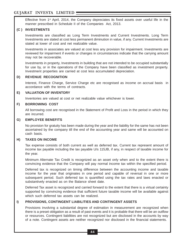Effective from  $1<sup>st</sup>$  April, 2014, the Company depreciates its fixed assets over useful life in the manner prescribed in Schedule II of the Companies Act, 2013.

## **(C ) INVESTMENTS**

Investments are classified as Long Term Investments and Current Investments. Long Term Investments are stated at cost less permanent diminution in value, if any. Current Investments are stated at lower of cost and net realizable value.

Investments in associates are valued at cost less any provision for impairment. Investments are reviewed for impairment if events or changes in circumstances indicate that the carrying amount may not be recoverable.

Investments in property, Investments in building that are not intended to be occupied substantially for use by, or in the operations of the Company have been classified as investment property. Investment properties are carried at cost less accumulated depreciation.

#### **D) REVENUE RECOGNITION**

Interest, Finance Charge, Service Charge etc are recognised as income on accrual basis in accordance with the terms of contracts.

#### **E) VALUATION OF INVENTORY**

Inventories are valued at cost or net realizable value whichever is lower.

#### **F) BORROWING COST**

All borrowing cost are recognised in the Statement of Profit and Loss in the period in which they are incurred.

#### **G) EMPLOYEE BENEFITS**

No provision for gratuity has been made during the year and the liability for the same has not been ascertained by the company till the end of the accounting year and same will be accounted on cash basis.

#### **H) TAXES ON INCOME**

Tax expense consists of both current as well as deferred tax. Current tax represent amount of income tax payable including the tax payable U/s 115JB, if any, in respect of taxable income for the year.

Minimum Alternate Tax Credit is recognized as an asset only when and to the extent there is convincing evidence that the Company will pay normal income tax within the specified period.

Deferred tax is recognized on timing difference between the accounting income and taxable income for the year that originates in one period and capable of reversal in one or more subsequent period. Such deferred tax is quantified using the tax rates and laws enacted or substantively enacted as on the Balance sheet date.

Deferred Tax asset is recognized and carried forward to the extent that there is a virtual certainty supported by convincing evidence that sufficient future taxable income will be available against which such deferred tax assets can be realized.

### **I) PROVISIONS, CONTINGENT LIABILITIES AND CONTINGENT ASSETS**

Provisions involving a substantial degree of estimation in measurement are recognized when there is a preset obligation as a result of past events and it is probable that there will be an outflow or resources. Contingent liabilities are not recognized but are disclosed in the accounts by way of a note. Contingent assets are neither recognized nor disclosed in the financial statements.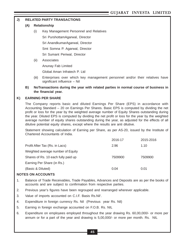### **J) RELATED PARTY TRANSACTIONS**

#### **(A) Relationship**

(i) Key Management Personnel and Relatives

Sri PurshottamAgarwal, Director

Sri AnandkumarAgarwal, Director

Smt Somna P. Agarwal, Director

Sri Sumant Periwal, Director

(ii) Associates

Anunay Fab Limited

Global Aman Infratech P. Ltd

- (iii) Enterprises over which key management personnel and/or their relatives have significant influence – Nil
- **B) NoTransactions during the year with related parties in normal course of business in the financial year.**

#### **K) EARNING PER SHARE**

The Company reports basic and diluted Earnings Per Share (EPS) in accordance with Accounting Standard – 20 on Earnings Per Shares. Basic EPS is computed by dividing the net profit or loss for the year by the weighted average number of Equity Shares outstanding during the year. Diluted EPS is computed by dividing the net profit or loss for the year by the weighted average number of equity shares outstanding during the year, as adjusted for the effects of all dilutive potential equity shares, except where the results are anti dilutive.

Statement showing calculation of Earning per Share, as per AS-20, issued by the Institute of Chartered Accountants of India.

| 2015-2016 |
|-----------|
| 1.10      |
|           |
| 7509900   |
|           |
| 0.01      |
|           |

#### **NOTES ON ACCOUNTS**

- 1. Balance of Trade Receivables, Trade Payables, Advances and Deposits are as per the books of accounts and are subject to confirmation from respective parties.
- 2. Previous year's figures have been regrouped and rearranged wherever applicable.
- 3. Value of imports accounted on C.I.F. Basis Rs.Nil'.
- 4. Expenditure in foreign currency Rs. Nil (Previous year Rs. Nil)
- 5. Earning in foreign exchange accounted on F.O.B. Rs. NIL
- 6. Expenditure on employees employed throughout the year drawing Rs. 60,00,000/- or more per annum or for a part of the year and drawing is 5,00,000/- or more per month. Rs. NIL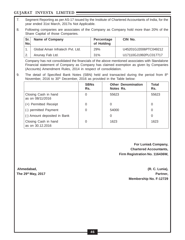- 7. Segment Reporting as per AS-17 issued by the Institute of Chartered Accountants of India, for the year ended 31st March, 2017is Not Applicable.
- 8. Following companies are associates of the Company as Company hold more than 20% of the Share Capital of those Companies.

| Sr.<br>No. | <b>Name of Company</b>          | Percentage<br>of Holding | CIN No.               |
|------------|---------------------------------|--------------------------|-----------------------|
|            | Global Aman Infratech Pvt. Ltd. | 29%                      | U45201GJ2006PTC049212 |
|            | Anunay Fab Ltd.                 | 31%                      | U17110GJ1992PLC017717 |

Company has not consolidated the financials of the above mentioned associates with Standalone Financial statement of Company as Company has claimed exemption as given by Companies (Accounts) Amendment Rules, 2014 in respect of consolidation.

9. The detail of Specified Bank Notes (SBN) held and transacted during the period from  $8<sup>th</sup>$ November, 2016 to 30<sup>th</sup> December, 2016 as provided in the Table below:

|                                          | <b>SBNs</b><br>Rs. | <b>Other Denomination</b><br>Notes Rs. | <b>Total</b><br>Rs. |
|------------------------------------------|--------------------|----------------------------------------|---------------------|
| Closing Cash in hand<br>as on 08/11/2016 | 0                  | 55623                                  | 55623               |
| (+) Permitted Receipt                    | 0                  | 0                                      | 0                   |
| (-) permitted Payment                    |                    | 54000                                  | 0                   |
| (-) Amount deposited in Bank             |                    | $\Omega$                               | 0                   |
| Closing Cash in hand<br>as on 30.12.2016 |                    | 1623                                   | 1623                |

 **For Lunia& Company, Chartered Accountants, Firm Registration No. 116436W,**

**Ahmedabad, (R. C. Lunia), The 29th May, 2017 Partner, Membership No. F-12729**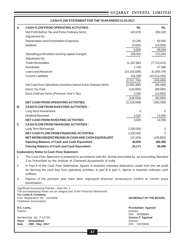| Α.       | <b>CASH FLOW FROM OPERATING ACTIVITIES:</b>                                                                                                                                                                                           | Rs.                                                    | Rs.                     |
|----------|---------------------------------------------------------------------------------------------------------------------------------------------------------------------------------------------------------------------------------------|--------------------------------------------------------|-------------------------|
|          | Net Profit Before Tax and Extra Ordinary Items<br>Adjustment for:                                                                                                                                                                     | 422,676                                                | 204,220                 |
|          | Depreciation and Amortisation Expenses                                                                                                                                                                                                | 10,245                                                 | 83,590                  |
|          | <b>Dividend</b>                                                                                                                                                                                                                       | (3,620)                                                | (14, 556)               |
|          |                                                                                                                                                                                                                                       | 6,625                                                  | 69,034                  |
|          | Operating profit before working capital changes                                                                                                                                                                                       | 429,301                                                | 273,254                 |
|          | Adjustment for:<br><b>Trade Receivables</b>                                                                                                                                                                                           |                                                        |                         |
|          | Inventories                                                                                                                                                                                                                           | 11,347,884<br>1,745                                    | (7,713,413)<br>27,380   |
|          | Loans and Advances                                                                                                                                                                                                                    | (14, 103, 598)                                         | 31,859,749              |
|          | <b>Current Liabilities</b>                                                                                                                                                                                                            | 232,269                                                | (24, 513, 415)          |
|          |                                                                                                                                                                                                                                       | (2,521,700)                                            | (339,699)               |
|          | Net Cash from Operations Activities before Extra Ordinary Items                                                                                                                                                                       | (2,092,399)                                            | (66, 446)               |
|          | <b>Direct Tax Paid</b>                                                                                                                                                                                                                | (130,000)                                              | (80,000)                |
|          | Extra Ordinary Items (Previous Year's Tax)                                                                                                                                                                                            | 3,450                                                  | (13,993)                |
|          |                                                                                                                                                                                                                                       | (126, 550)                                             | (93,993)                |
|          | <b>NET CASH FROM OPERATING ACTIVITIES</b>                                                                                                                                                                                             | (2,218,949)                                            | (160, 439)              |
| В.       | <b>CASH FLOW FROM INVESTING ACTIVITIES:</b>                                                                                                                                                                                           |                                                        |                         |
|          | Long Term Investments                                                                                                                                                                                                                 | $\overline{0}$                                         | $\Omega$                |
|          | <b>Dividend Received</b>                                                                                                                                                                                                              | 3,620                                                  | 14,556                  |
|          | <b>NET CASH FROM INVESTING ACTIVITIES</b>                                                                                                                                                                                             | 3,620                                                  | 14,556                  |
| C.       | <b>CASH FLOW FROM FINANCING ACTIVITIES:</b>                                                                                                                                                                                           |                                                        |                         |
|          | Long Term Borrowings                                                                                                                                                                                                                  | 2,200,000                                              | 0                       |
|          | <b>NET CASH FLOW FROM FINANCING ACTIVITIES</b>                                                                                                                                                                                        | 2,200,000                                              | 0                       |
|          | NET INCREASE/(DECREASE) IN CASH AND CASH EQUIVALENT                                                                                                                                                                                   | (15, 329)                                              | (145, 883)              |
|          | <b>Opening Balance of Cash and Cash Equivalent</b>                                                                                                                                                                                    | 40,500                                                 | 186,380                 |
|          | <b>Closing Balance of Cash and Cash Equivalent</b>                                                                                                                                                                                    | 25,171                                                 | 40,498                  |
|          | <b>Explanatory Notes to Cash Flow Statement</b>                                                                                                                                                                                       |                                                        |                         |
| 1.       | The Cash Flow Statement is prepared in accordance with the format prescribed by as Accounting Standard<br>3 as Prescribed by the Institute of Chartered Accountants of India.                                                         |                                                        |                         |
| 2.       | In Part A of the Cash Flow Statements, figures in brackets indicates deductions made from the net profit<br>for deriving the cash flow from operating activities. In part B & part C, figures in brackets indicates cash<br>outflows. |                                                        |                         |
| 3.       | Figures of the previous year have been regrouped wherever necessary, to confirm to current years<br>presentation.                                                                                                                     |                                                        |                         |
|          | Significant Accounting Policies - Note No. 1<br>The accompanying Notes are an integral part of the Financial Statements<br>For Lunia & Company,                                                                                       |                                                        |                         |
|          | Firm Registration No. 116436W,<br>Chartered Accountants,                                                                                                                                                                              |                                                        | ON BEHALF OF THE BOARD, |
| Partner, | R.C. Lunia,                                                                                                                                                                                                                           | <b>Purshottam Agarwal</b><br>Director<br>DIN: 00396869 |                         |
|          | Membership No. F-12729.<br>Place: Ahmedabad.                                                                                                                                                                                          | Somna P Agarwal<br>Director                            |                         |
|          | Date : 29th May, 2017                                                                                                                                                                                                                 | DIN: 01670948                                          |                         |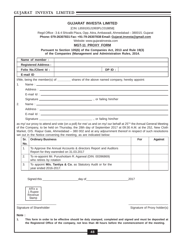|    | <b>GUJARAT INVESTA LIMITED</b><br>[CIN: L65910GJ1993PLC018858]<br>Regd Office: 3 & 4 Shivalik Plaza, Opp. Atira, Ambawadi, Ahmedabad - 380015. Gujarat<br>Phone: 079-26307831 Fax: +91-79-26307838 Email: Gujarat.investa@gmail.com<br>Website: www.gujaratinvesta.com<br><b>MGT-11 PROXY FORM</b><br>Pursuant to Section 105(6) of the Companies Act, 2013 and Rule 19(3)<br>of the Companies (Management and Administration Rules, 2014. |                            |                                                                                                                                                                                                                                                                                                                                                                                                                                     |     |                              |
|----|--------------------------------------------------------------------------------------------------------------------------------------------------------------------------------------------------------------------------------------------------------------------------------------------------------------------------------------------------------------------------------------------------------------------------------------------|----------------------------|-------------------------------------------------------------------------------------------------------------------------------------------------------------------------------------------------------------------------------------------------------------------------------------------------------------------------------------------------------------------------------------------------------------------------------------|-----|------------------------------|
|    |                                                                                                                                                                                                                                                                                                                                                                                                                                            | Name of member :           |                                                                                                                                                                                                                                                                                                                                                                                                                                     |     |                              |
|    |                                                                                                                                                                                                                                                                                                                                                                                                                                            | <b>Registered Address:</b> |                                                                                                                                                                                                                                                                                                                                                                                                                                     |     |                              |
|    |                                                                                                                                                                                                                                                                                                                                                                                                                                            | Folio No./Client Id:       | DP ID :                                                                                                                                                                                                                                                                                                                                                                                                                             |     |                              |
|    | E-mail ID                                                                                                                                                                                                                                                                                                                                                                                                                                  |                            |                                                                                                                                                                                                                                                                                                                                                                                                                                     |     |                              |
|    |                                                                                                                                                                                                                                                                                                                                                                                                                                            |                            | I/We, being the member(s) of ________ shares of the above named company, hereby appoint:                                                                                                                                                                                                                                                                                                                                            |     |                              |
| 1. |                                                                                                                                                                                                                                                                                                                                                                                                                                            |                            |                                                                                                                                                                                                                                                                                                                                                                                                                                     |     |                              |
|    |                                                                                                                                                                                                                                                                                                                                                                                                                                            |                            | Address: the contract of the contract of the contract of the contract of the contract of the contract of the contract of the contract of the contract of the contract of the contract of the contract of the contract of the c                                                                                                                                                                                                      |     |                              |
|    |                                                                                                                                                                                                                                                                                                                                                                                                                                            |                            |                                                                                                                                                                                                                                                                                                                                                                                                                                     |     |                              |
|    |                                                                                                                                                                                                                                                                                                                                                                                                                                            |                            |                                                                                                                                                                                                                                                                                                                                                                                                                                     |     |                              |
| 2. |                                                                                                                                                                                                                                                                                                                                                                                                                                            |                            |                                                                                                                                                                                                                                                                                                                                                                                                                                     |     |                              |
|    |                                                                                                                                                                                                                                                                                                                                                                                                                                            |                            |                                                                                                                                                                                                                                                                                                                                                                                                                                     |     |                              |
|    |                                                                                                                                                                                                                                                                                                                                                                                                                                            |                            |                                                                                                                                                                                                                                                                                                                                                                                                                                     |     |                              |
|    |                                                                                                                                                                                                                                                                                                                                                                                                                                            |                            | as my/ our proxy to attend and vote (on a poll) for me/ us and on my/ our behalf at 25 <sup>™</sup> the Annual General Meeting<br>of the Company, to be held on Thursday, the 28th day of September 2017 at 09:30 A.M. at the 252, New Cloth<br>Market, O/S. Raipur Gate, Ahmedabad - 380 002 and at any adjournment thereof in respect of such resolutions<br>set out in the Notice convening the meeting, as are indicated below: |     |                              |
|    | Sr.                                                                                                                                                                                                                                                                                                                                                                                                                                        | <b>Ordinary Business</b>   |                                                                                                                                                                                                                                                                                                                                                                                                                                     | For | <b>Against</b>               |
|    | No.                                                                                                                                                                                                                                                                                                                                                                                                                                        |                            |                                                                                                                                                                                                                                                                                                                                                                                                                                     |     |                              |
|    | 1.                                                                                                                                                                                                                                                                                                                                                                                                                                         |                            | To Approve the Annual Accounts & directors Report and Auditors<br>Report for they earended on 31.03.2017                                                                                                                                                                                                                                                                                                                            |     |                              |
|    | 2.                                                                                                                                                                                                                                                                                                                                                                                                                                         | who retires by rotation    | To re-appoint Mr. Purushottam R. Agarwal (DIN: 00396869)                                                                                                                                                                                                                                                                                                                                                                            |     |                              |
|    | 3.<br>To appoint M/s. Tantiya & Co. as Statutory Audit or for the<br>year ended 2016-2017.                                                                                                                                                                                                                                                                                                                                                 |                            |                                                                                                                                                                                                                                                                                                                                                                                                                                     |     |                              |
|    | 2017<br>Affix a<br>1 Rupee<br>Revenue<br>Stamp                                                                                                                                                                                                                                                                                                                                                                                             |                            |                                                                                                                                                                                                                                                                                                                                                                                                                                     |     |                              |
|    |                                                                                                                                                                                                                                                                                                                                                                                                                                            | Signature of Shareholder   |                                                                                                                                                                                                                                                                                                                                                                                                                                     |     | Signature of Proxy holder(s) |

**Note :**

**1. This form in order to be effective should be duly stamped, completed and signed and must be deposited at the Registered Office of the company, not less than 48 hours before the commencement of the meeting.**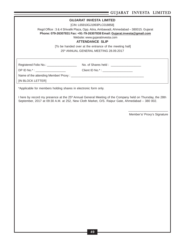|                                                                 | $e^{i \pi n \pi t}$ $\pi \pi \pi \pi$                                                                                                                                                                                   |
|-----------------------------------------------------------------|-------------------------------------------------------------------------------------------------------------------------------------------------------------------------------------------------------------------------|
|                                                                 | <b>GUJARAT INVESTA LIMITED</b>                                                                                                                                                                                          |
|                                                                 | [CIN: L65910GJ1993PLC018858]                                                                                                                                                                                            |
|                                                                 | Regd Office: 3 & 4 Shivalik Plaza, Opp. Atira, Ambawadi, Ahmedabad - 380015. Gujarat                                                                                                                                    |
|                                                                 | Phone: 079-26307831 Fax: +91-79-26307838 Email: Gujarat.investa@gmail.com                                                                                                                                               |
|                                                                 | Website: www.gujaratinvesta.com                                                                                                                                                                                         |
|                                                                 | <b>ATTENDANCE SLIP</b>                                                                                                                                                                                                  |
|                                                                 | [To be handed over at the entrance of the meeting hall]                                                                                                                                                                 |
|                                                                 | 25th ANNUAL GENERAL MEETING 28.09.2017                                                                                                                                                                                  |
|                                                                 |                                                                                                                                                                                                                         |
| Registered Folio No.: ______________________                    |                                                                                                                                                                                                                         |
| DP ID No.* : _____________________                              |                                                                                                                                                                                                                         |
|                                                                 |                                                                                                                                                                                                                         |
| [IN BLOCK LETTER]                                               |                                                                                                                                                                                                                         |
|                                                                 |                                                                                                                                                                                                                         |
| *Applicable for members holding shares in electronic form only. |                                                                                                                                                                                                                         |
|                                                                 | I here by record my presence at the 25 <sup>th</sup> Annual General Meeting of the Company held on Thursday, the 28th<br>September, 2017 at 09:30 A.M. at 252, New Cloth Market, O/S. Raipur Gate, Ahmedabad - 380 002. |
|                                                                 |                                                                                                                                                                                                                         |
|                                                                 | Member's/ Proxy's Signature                                                                                                                                                                                             |
|                                                                 |                                                                                                                                                                                                                         |
|                                                                 |                                                                                                                                                                                                                         |
|                                                                 |                                                                                                                                                                                                                         |
|                                                                 |                                                                                                                                                                                                                         |
|                                                                 |                                                                                                                                                                                                                         |
|                                                                 |                                                                                                                                                                                                                         |
|                                                                 |                                                                                                                                                                                                                         |
|                                                                 |                                                                                                                                                                                                                         |
|                                                                 |                                                                                                                                                                                                                         |
|                                                                 |                                                                                                                                                                                                                         |
|                                                                 |                                                                                                                                                                                                                         |
|                                                                 |                                                                                                                                                                                                                         |
|                                                                 |                                                                                                                                                                                                                         |
|                                                                 |                                                                                                                                                                                                                         |
|                                                                 |                                                                                                                                                                                                                         |
|                                                                 |                                                                                                                                                                                                                         |
|                                                                 |                                                                                                                                                                                                                         |
|                                                                 |                                                                                                                                                                                                                         |
|                                                                 |                                                                                                                                                                                                                         |
|                                                                 |                                                                                                                                                                                                                         |
|                                                                 |                                                                                                                                                                                                                         |
|                                                                 |                                                                                                                                                                                                                         |
|                                                                 |                                                                                                                                                                                                                         |